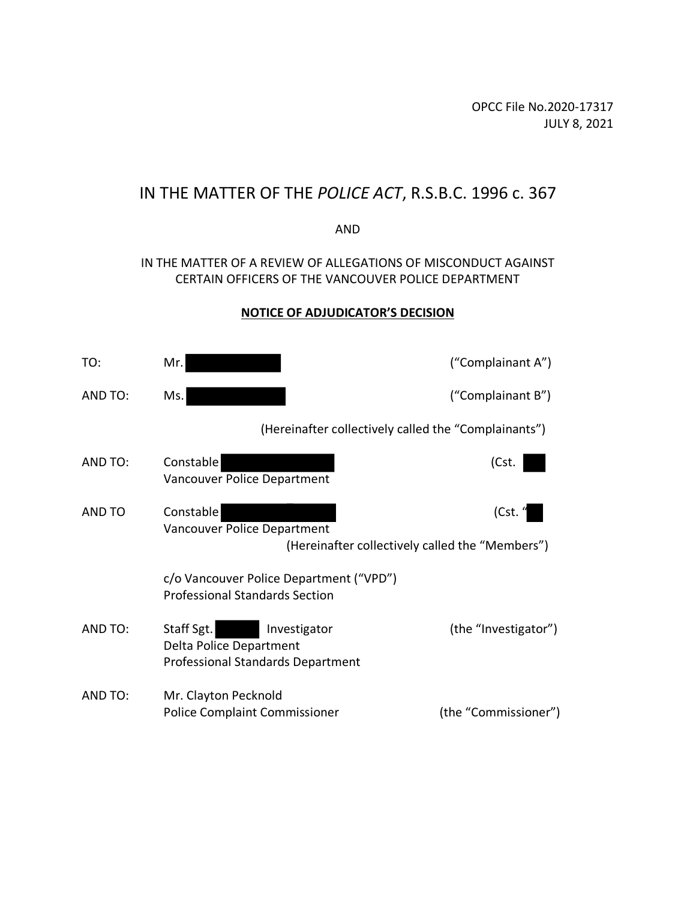OPCC File No.2020-17317 JULY 8, 2021

# IN THE MATTER OF THE *POLICE ACT*, R.S.B.C. 1996 c. 367

#### AND

## IN THE MATTER OF A REVIEW OF ALLEGATIONS OF MISCONDUCT AGAINST CERTAIN OFFICERS OF THE VANCOUVER POLICE DEPARTMENT

## **NOTICE OF ADJUDICATOR'S DECISION**

| TO:     | Mr.                                                                                               | ("Complainant A")    |
|---------|---------------------------------------------------------------------------------------------------|----------------------|
| AND TO: | Ms.                                                                                               | ("Complainant B")    |
|         | (Hereinafter collectively called the "Complainants")                                              |                      |
| AND TO: | Constable<br>Vancouver Police Department                                                          | (Cst.                |
| AND TO  | Constable<br>Vancouver Police Department<br>(Hereinafter collectively called the "Members")       | (Cst. "              |
|         | c/o Vancouver Police Department ("VPD")<br><b>Professional Standards Section</b>                  |                      |
| AND TO: | Staff Sgt.<br>Investigator<br>Delta Police Department<br><b>Professional Standards Department</b> | (the "Investigator") |
| AND TO: | Mr. Clayton Pecknold<br><b>Police Complaint Commissioner</b>                                      | (the "Commissioner") |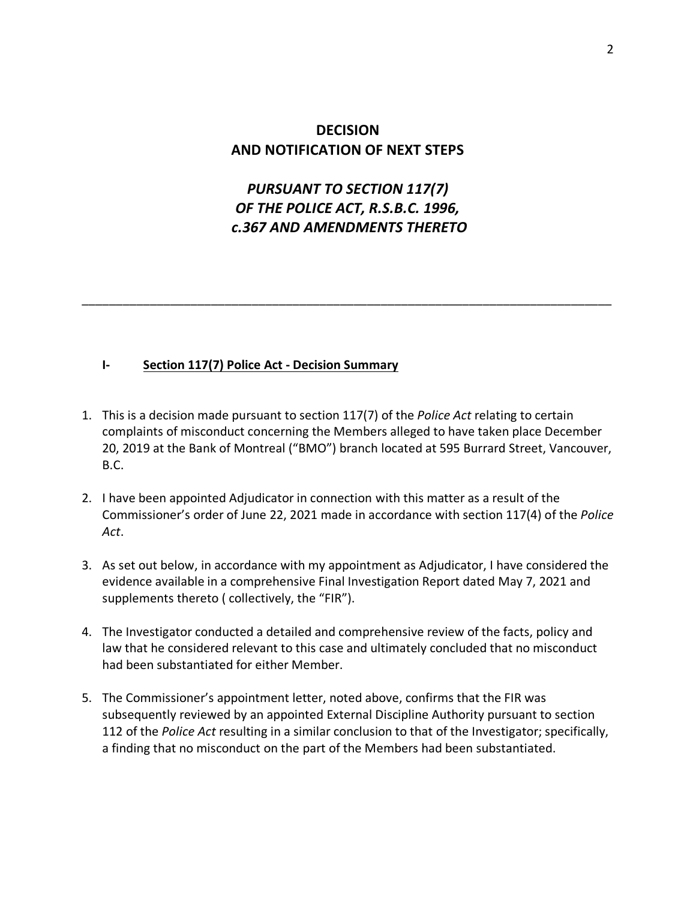# **DECISION AND NOTIFICATION OF NEXT STEPS**

# *PURSUANT TO SECTION 117(7) OF THE POLICE ACT, R.S.B.C. 1996, c.367 AND AMENDMENTS THERETO*

\_\_\_\_\_\_\_\_\_\_\_\_\_\_\_\_\_\_\_\_\_\_\_\_\_\_\_\_\_\_\_\_\_\_\_\_\_\_\_\_\_\_\_\_\_\_\_\_\_\_\_\_\_\_\_\_\_\_\_\_\_\_\_\_\_\_\_\_\_\_\_\_\_\_\_\_\_\_

#### **I- Section 117(7) Police Act - Decision Summary**

- 1. This is a decision made pursuant to section 117(7) of the *Police Act* relating to certain complaints of misconduct concerning the Members alleged to have taken place December 20, 2019 at the Bank of Montreal ("BMO") branch located at 595 Burrard Street, Vancouver, B.C.
- 2. I have been appointed Adjudicator in connection with this matter as a result of the Commissioner's order of June 22, 2021 made in accordance with section 117(4) of the *Police Act*.
- 3. As set out below, in accordance with my appointment as Adjudicator, I have considered the evidence available in a comprehensive Final Investigation Report dated May 7, 2021 and supplements thereto ( collectively, the "FIR").
- 4. The Investigator conducted a detailed and comprehensive review of the facts, policy and law that he considered relevant to this case and ultimately concluded that no misconduct had been substantiated for either Member.
- 5. The Commissioner's appointment letter, noted above, confirms that the FIR was subsequently reviewed by an appointed External Discipline Authority pursuant to section 112 of the *Police Act* resulting in a similar conclusion to that of the Investigator; specifically, a finding that no misconduct on the part of the Members had been substantiated.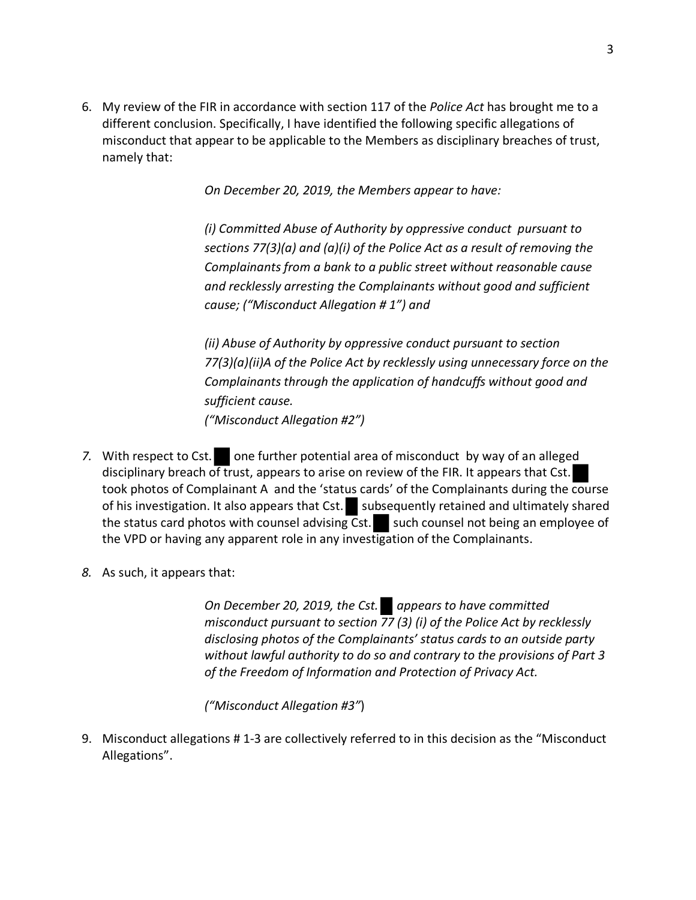6. My review of the FIR in accordance with section 117 of the *Police Act* has brought me to a different conclusion. Specifically, I have identified the following specific allegations of misconduct that appear to be applicable to the Members as disciplinary breaches of trust, namely that:

*On December 20, 2019, the Members appear to have:*

*(i) Committed Abuse of Authority by oppressive conduct pursuant to sections 77(3)(a) and (a)(i) of the Police Act as a result of removing the Complainants from a bank to a public street without reasonable cause and recklessly arresting the Complainants without good and sufficient cause; ("Misconduct Allegation # 1") and*

*(ii) Abuse of Authority by oppressive conduct pursuant to section 77(3)(a)(ii)A of the Police Act by recklessly using unnecessary force on the Complainants through the application of handcuffs without good and sufficient cause. ("Misconduct Allegation #2")*

- 7. With respect to Cst. one further potential area of misconduct by way of an alleged disciplinary breach of trust, appears to arise on review of the FIR. It appears that Cst. took photos of Complainant A and the 'status cards' of the Complainants during the course of his investigation. It also appears that Cst. subsequently retained and ultimately shared the status card photos with counsel advising Cst. such counsel not being an employee of the VPD or having any apparent role in any investigation of the Complainants.
- *8.* As such, it appears that:

*On December 20, 2019, the Cst. appears to have committed misconduct pursuant to section 77 (3) (i) of the Police Act by recklessly disclosing photos of the Complainants' status cards to an outside party without lawful authority to do so and contrary to the provisions of Part 3 of the Freedom of Information and Protection of Privacy Act.*

*("Misconduct Allegation #3"*)

9. Misconduct allegations # 1-3 are collectively referred to in this decision as the "Misconduct Allegations".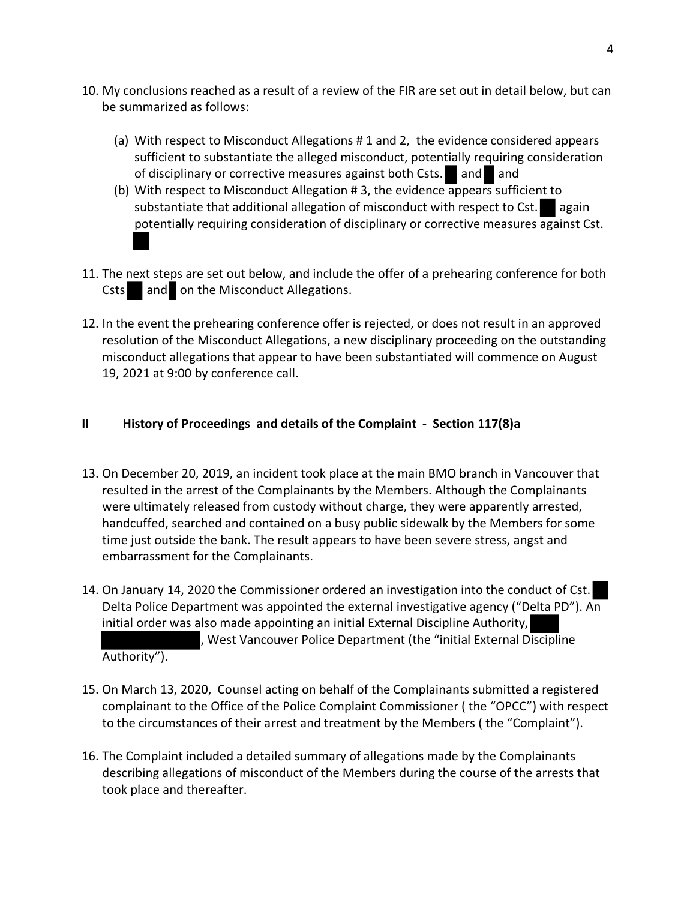- 10. My conclusions reached as a result of a review of the FIR are set out in detail below, but can be summarized as follows:
	- (a) With respect to Misconduct Allegations # 1 and 2, the evidence considered appears sufficient to substantiate the alleged misconduct, potentially requiring consideration of disciplinary or corrective measures against both Csts. and and
	- (b) With respect to Misconduct Allegation # 3, the evidence appears sufficient to substantiate that additional allegation of misconduct with respect to Cst.  $\Box$  again potentially requiring consideration of disciplinary or corrective measures against Cst.
- 11. The next steps are set out below, and include the offer of a prehearing conference for both Csts and on the Misconduct Allegations.
- 12. In the event the prehearing conference offer is rejected, or does not result in an approved resolution of the Misconduct Allegations, a new disciplinary proceeding on the outstanding misconduct allegations that appear to have been substantiated will commence on August 19, 2021 at 9:00 by conference call.

## **II History of Proceedings and details of the Complaint - Section 117(8)a**

- 13. On December 20, 2019, an incident took place at the main BMO branch in Vancouver that resulted in the arrest of the Complainants by the Members. Although the Complainants were ultimately released from custody without charge, they were apparently arrested, handcuffed, searched and contained on a busy public sidewalk by the Members for some time just outside the bank. The result appears to have been severe stress, angst and embarrassment for the Complainants.
- 14. On January 14, 2020 the Commissioner ordered an investigation into the conduct of Cst. Delta Police Department was appointed the external investigative agency ("Delta PD"). An initial order was also made appointing an initial External Discipline Authority, , West Vancouver Police Department (the "initial External Discipline Authority").
- 15. On March 13, 2020, Counsel acting on behalf of the Complainants submitted a registered complainant to the Office of the Police Complaint Commissioner ( the "OPCC") with respect to the circumstances of their arrest and treatment by the Members ( the "Complaint").
- 16. The Complaint included a detailed summary of allegations made by the Complainants describing allegations of misconduct of the Members during the course of the arrests that took place and thereafter.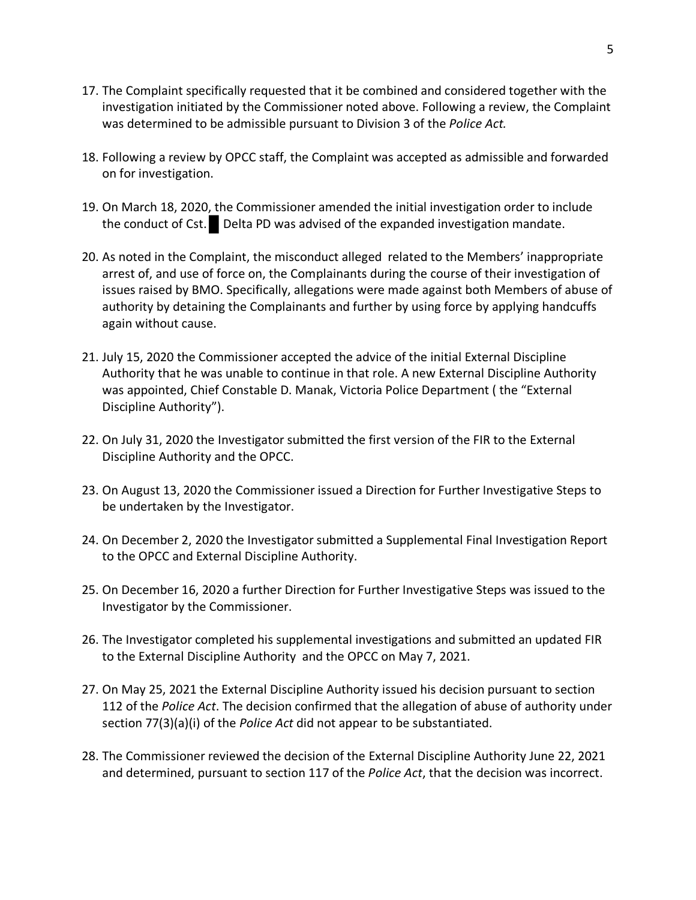- 17. The Complaint specifically requested that it be combined and considered together with the investigation initiated by the Commissioner noted above. Following a review, the Complaint was determined to be admissible pursuant to Division 3 of the *Police Act.*
- 18. Following a review by OPCC staff, the Complaint was accepted as admissible and forwarded on for investigation.
- 19. On March 18, 2020, the Commissioner amended the initial investigation order to include the conduct of Cst. Delta PD was advised of the expanded investigation mandate.
- 20. As noted in the Complaint, the misconduct alleged related to the Members' inappropriate arrest of, and use of force on, the Complainants during the course of their investigation of issues raised by BMO. Specifically, allegations were made against both Members of abuse of authority by detaining the Complainants and further by using force by applying handcuffs again without cause.
- 21. July 15, 2020 the Commissioner accepted the advice of the initial External Discipline Authority that he was unable to continue in that role. A new External Discipline Authority was appointed, Chief Constable D. Manak, Victoria Police Department ( the "External Discipline Authority").
- 22. On July 31, 2020 the Investigator submitted the first version of the FIR to the External Discipline Authority and the OPCC.
- 23. On August 13, 2020 the Commissioner issued a Direction for Further Investigative Steps to be undertaken by the Investigator.
- 24. On December 2, 2020 the Investigator submitted a Supplemental Final Investigation Report to the OPCC and External Discipline Authority.
- 25. On December 16, 2020 a further Direction for Further Investigative Steps was issued to the Investigator by the Commissioner.
- 26. The Investigator completed his supplemental investigations and submitted an updated FIR to the External Discipline Authority and the OPCC on May 7, 2021.
- 27. On May 25, 2021 the External Discipline Authority issued his decision pursuant to section 112 of the *Police Act*. The decision confirmed that the allegation of abuse of authority under section 77(3)(a)(i) of the *Police Act* did not appear to be substantiated.
- 28. The Commissioner reviewed the decision of the External Discipline Authority June 22, 2021 and determined, pursuant to section 117 of the *Police Act*, that the decision was incorrect.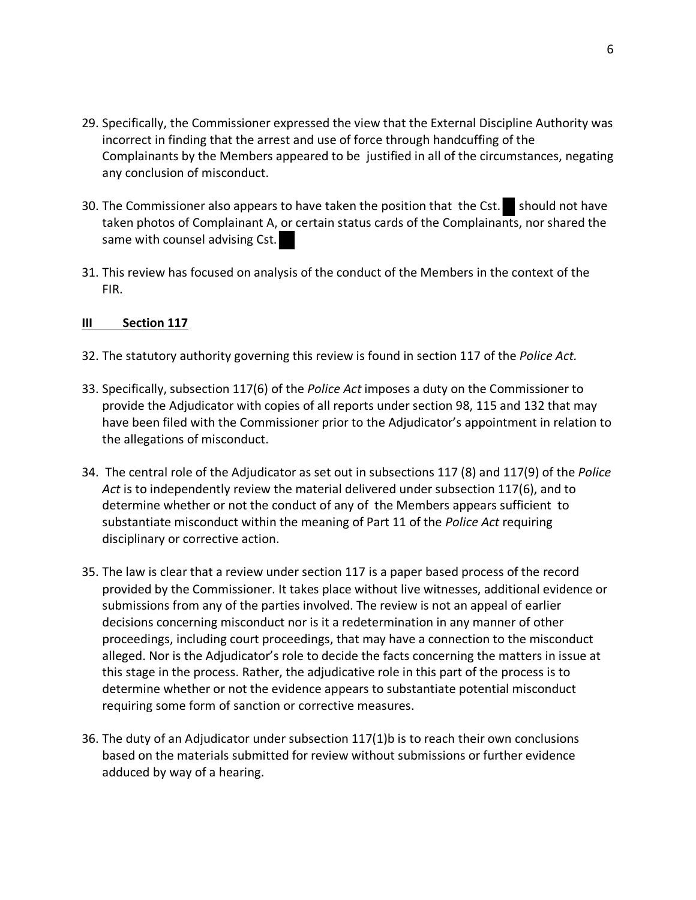- 29. Specifically, the Commissioner expressed the view that the External Discipline Authority was incorrect in finding that the arrest and use of force through handcuffing of the Complainants by the Members appeared to be justified in all of the circumstances, negating any conclusion of misconduct.
- 30. The Commissioner also appears to have taken the position that the Cst. should not have taken photos of Complainant A, or certain status cards of the Complainants, nor shared the same with counsel advising Cst.
- 31. This review has focused on analysis of the conduct of the Members in the context of the FIR.

#### **III Section 117**

- 32. The statutory authority governing this review is found in section 117 of the *Police Act.*
- 33. Specifically, subsection 117(6) of the *Police Act* imposes a duty on the Commissioner to provide the Adjudicator with copies of all reports under section 98, 115 and 132 that may have been filed with the Commissioner prior to the Adjudicator's appointment in relation to the allegations of misconduct.
- 34. The central role of the Adjudicator as set out in subsections 117 (8) and 117(9) of the *Police Act* is to independently review the material delivered under subsection 117(6), and to determine whether or not the conduct of any of the Members appears sufficient to substantiate misconduct within the meaning of Part 11 of the *Police Act* requiring disciplinary or corrective action.
- 35. The law is clear that a review under section 117 is a paper based process of the record provided by the Commissioner. It takes place without live witnesses, additional evidence or submissions from any of the parties involved. The review is not an appeal of earlier decisions concerning misconduct nor is it a redetermination in any manner of other proceedings, including court proceedings, that may have a connection to the misconduct alleged. Nor is the Adjudicator's role to decide the facts concerning the matters in issue at this stage in the process. Rather, the adjudicative role in this part of the process is to determine whether or not the evidence appears to substantiate potential misconduct requiring some form of sanction or corrective measures.
- 36. The duty of an Adjudicator under subsection 117(1)b is to reach their own conclusions based on the materials submitted for review without submissions or further evidence adduced by way of a hearing.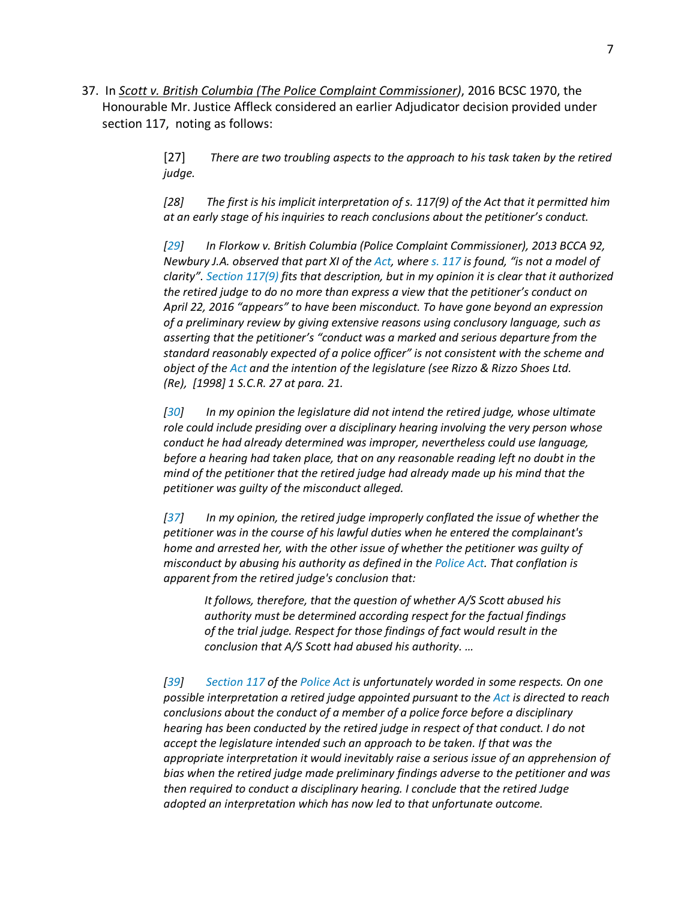37. In *Scott v. British Columbia (The Police Complaint Commissioner)*, 2016 BCSC 1970, the Honourable Mr. Justice Affleck considered an earlier Adjudicator decision provided under section 117, noting as follows:

> [27] *There are two troubling aspects to the approach to his task taken by the retired judge.*

> *[28] The first is his implicit interpretation of s. 117(9) of the Act that it permitted him at an early stage of his inquiries to reach conclusions about the petitioner's conduct.*

*[29] In Florkow v. British Columbia (Police Complaint Commissioner), 2013 BCCA 92, Newbury J.A. observed that part XI of the Act, where s. 117 is found, "is not a model of clarity". Section 117(9) fits that description, but in my opinion it is clear that it authorized the retired judge to do no more than express a view that the petitioner's conduct on April 22, 2016 "appears" to have been misconduct. To have gone beyond an expression of a preliminary review by giving extensive reasons using conclusory language, such as asserting that the petitioner's "conduct was a marked and serious departure from the standard reasonably expected of a police officer" is not consistent with the scheme and object of the Act and the intention of the legislature (see Rizzo & Rizzo Shoes Ltd. (Re), [1998] 1 S.C.R. 27 at para. 21.*

*[30] In my opinion the legislature did not intend the retired judge, whose ultimate role could include presiding over a disciplinary hearing involving the very person whose conduct he had already determined was improper, nevertheless could use language, before a hearing had taken place, that on any reasonable reading left no doubt in the mind of the petitioner that the retired judge had already made up his mind that the petitioner was guilty of the misconduct alleged.*

*[37] In my opinion, the retired judge improperly conflated the issue of whether the petitioner was in the course of his lawful duties when he entered the complainant's home and arrested her, with the other issue of whether the petitioner was guilty of misconduct by abusing his authority as defined in the Police Act. That conflation is apparent from the retired judge's conclusion that:*

*It follows, therefore, that the question of whether A/S Scott abused his authority must be determined according respect for the factual findings of the trial judge. Respect for those findings of fact would result in the conclusion that A/S Scott had abused his authority. …*

*[39] Section 117 of the Police Act is unfortunately worded in some respects. On one possible interpretation a retired judge appointed pursuant to the Act is directed to reach conclusions about the conduct of a member of a police force before a disciplinary hearing has been conducted by the retired judge in respect of that conduct. I do not accept the legislature intended such an approach to be taken. If that was the appropriate interpretation it would inevitably raise a serious issue of an apprehension of bias when the retired judge made preliminary findings adverse to the petitioner and was then required to conduct a disciplinary hearing. I conclude that the retired Judge adopted an interpretation which has now led to that unfortunate outcome.*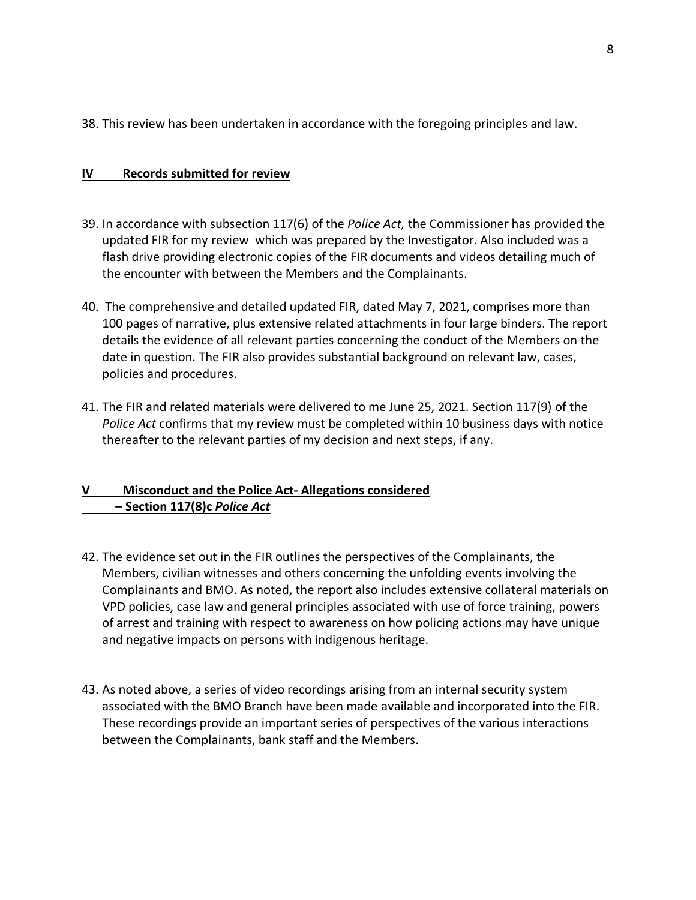38. This review has been undertaken in accordance with the foregoing principles and law.

## **IV Records submitted for review**

- 39. In accordance with subsection 117(6) of the *Police Act,* the Commissioner has provided the updated FIR for my review which was prepared by the Investigator. Also included was a flash drive providing electronic copies of the FIR documents and videos detailing much of the encounter with between the Members and the Complainants.
- 40. The comprehensive and detailed updated FIR, dated May 7, 2021, comprises more than 100 pages of narrative, plus extensive related attachments in four large binders. The report details the evidence of all relevant parties concerning the conduct of the Members on the date in question. The FIR also provides substantial background on relevant law, cases, policies and procedures.
- 41. The FIR and related materials were delivered to me June 25, 2021. Section 117(9) of the *Police Act* confirms that my review must be completed within 10 business days with notice thereafter to the relevant parties of my decision and next steps, if any.

## **V Misconduct and the Police Act- Allegations considered – Section 117(8)c** *Police Act*

- 42. The evidence set out in the FIR outlines the perspectives of the Complainants, the Members, civilian witnesses and others concerning the unfolding events involving the Complainants and BMO. As noted, the report also includes extensive collateral materials on VPD policies, case law and general principles associated with use of force training, powers of arrest and training with respect to awareness on how policing actions may have unique and negative impacts on persons with indigenous heritage.
- 43. As noted above, a series of video recordings arising from an internal security system associated with the BMO Branch have been made available and incorporated into the FIR. These recordings provide an important series of perspectives of the various interactions between the Complainants, bank staff and the Members.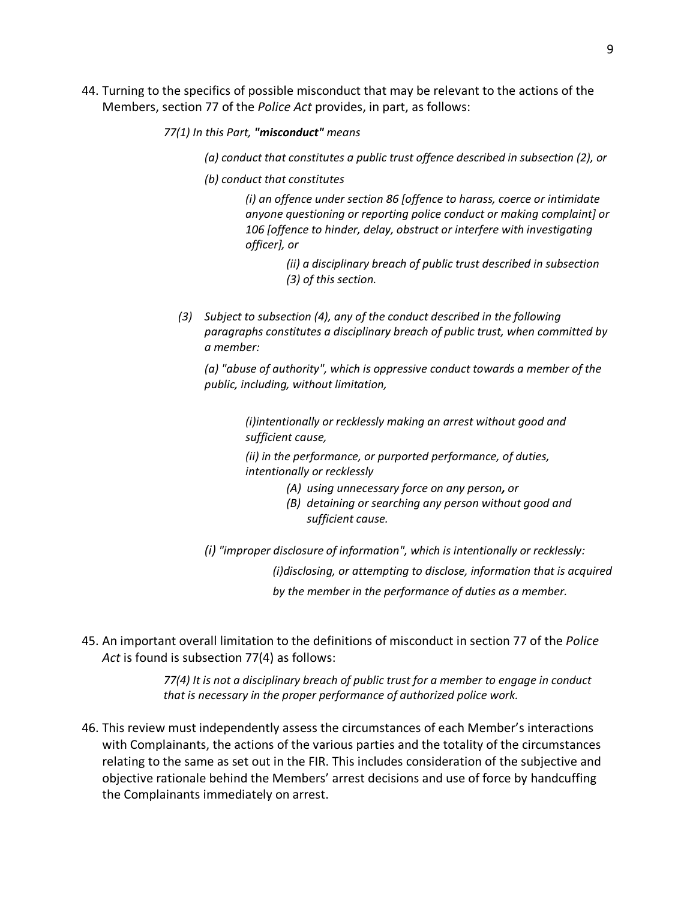44. Turning to the specifics of possible misconduct that may be relevant to the actions of the Members, section 77 of the *Police Act* provides, in part, as follows:

*77(1) In this Part, "misconduct" means*

*(a) conduct that constitutes a public trust offence described in subsection (2), or*

*(b) conduct that constitutes*

*(i) an offence under section 86 [offence to harass, coerce or intimidate anyone questioning or reporting police conduct or making complaint] or 106 [offence to hinder, delay, obstruct or interfere with investigating officer], or*

> *(ii) a disciplinary breach of public trust described in subsection (3) of this section.*

 *(3) Subject to subsection (4), any of the conduct described in the following paragraphs constitutes a disciplinary breach of public trust, when committed by a member:*

*(a) "abuse of authority", which is oppressive conduct towards a member of the public, including, without limitation,*

> *(i)intentionally or recklessly making an arrest without good and sufficient cause,*

*(ii) in the performance, or purported performance, of duties, intentionally or recklessly*

- *(A) using unnecessary force on any person, or*
- *(B) detaining or searching any person without good and sufficient cause.*
- *(i) "improper disclosure of information", which is intentionally or recklessly:*

*(i)disclosing, or attempting to disclose, information that is acquired by the member in the performance of duties as a member.*

45. An important overall limitation to the definitions of misconduct in section 77 of the *Police Act* is found is subsection 77(4) as follows:

> *77(4) It is not a disciplinary breach of public trust for a member to engage in conduct that is necessary in the proper performance of authorized police work.*

46. This review must independently assess the circumstances of each Member's interactions with Complainants, the actions of the various parties and the totality of the circumstances relating to the same as set out in the FIR. This includes consideration of the subjective and objective rationale behind the Members' arrest decisions and use of force by handcuffing the Complainants immediately on arrest.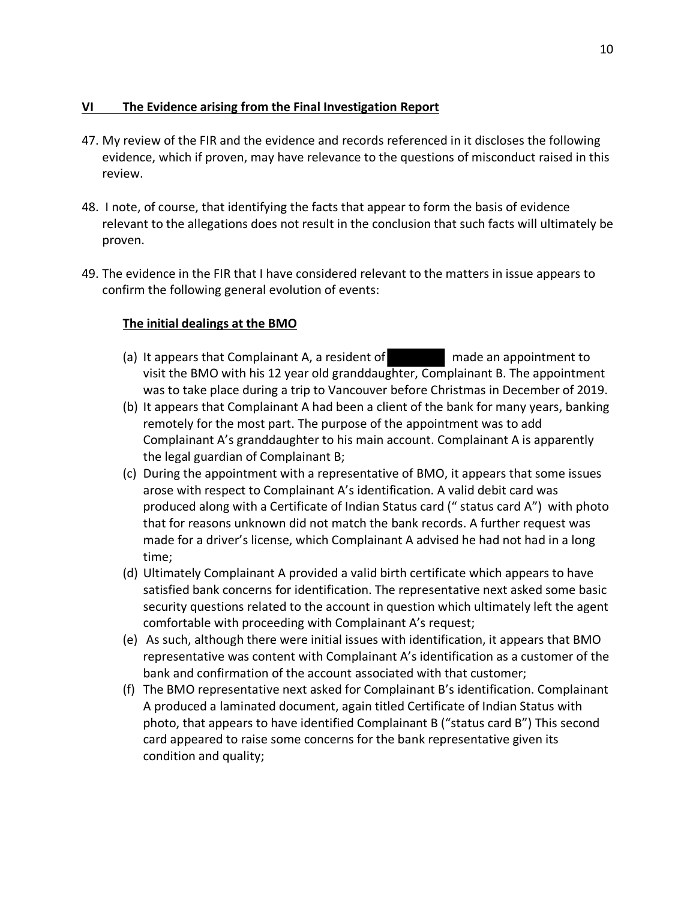## **VI The Evidence arising from the Final Investigation Report**

- 47. My review of the FIR and the evidence and records referenced in it discloses the following evidence, which if proven, may have relevance to the questions of misconduct raised in this review.
- 48. I note, of course, that identifying the facts that appear to form the basis of evidence relevant to the allegations does not result in the conclusion that such facts will ultimately be proven.
- 49. The evidence in the FIR that I have considered relevant to the matters in issue appears to confirm the following general evolution of events:

## **The initial dealings at the BMO**

- (a) It appears that Complainant A, a resident of made an appointment to visit the BMO with his 12 year old granddaughter, Complainant B. The appointment was to take place during a trip to Vancouver before Christmas in December of 2019.
- (b) It appears that Complainant A had been a client of the bank for many years, banking remotely for the most part. The purpose of the appointment was to add Complainant A's granddaughter to his main account. Complainant A is apparently the legal guardian of Complainant B;
- (c) During the appointment with a representative of BMO, it appears that some issues arose with respect to Complainant A's identification. A valid debit card was produced along with a Certificate of Indian Status card (" status card A") with photo that for reasons unknown did not match the bank records. A further request was made for a driver's license, which Complainant A advised he had not had in a long time;
- (d) Ultimately Complainant A provided a valid birth certificate which appears to have satisfied bank concerns for identification. The representative next asked some basic security questions related to the account in question which ultimately left the agent comfortable with proceeding with Complainant A's request;
- (e) As such, although there were initial issues with identification, it appears that BMO representative was content with Complainant A's identification as a customer of the bank and confirmation of the account associated with that customer;
- (f) The BMO representative next asked for Complainant B's identification. Complainant A produced a laminated document, again titled Certificate of Indian Status with photo, that appears to have identified Complainant B ("status card B") This second card appeared to raise some concerns for the bank representative given its condition and quality;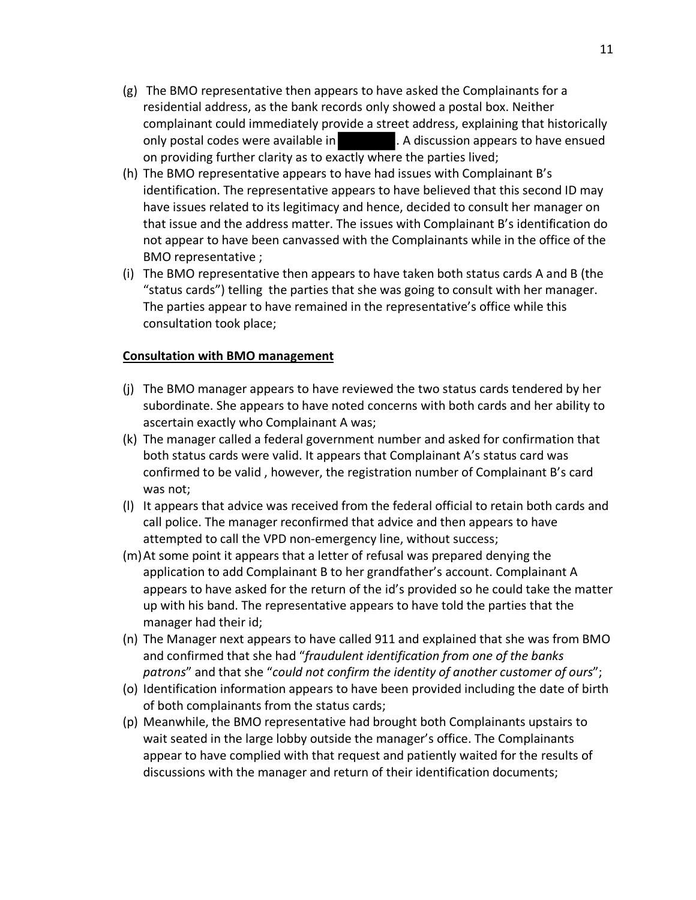- (g) The BMO representative then appears to have asked the Complainants for a residential address, as the bank records only showed a postal box. Neither complainant could immediately provide a street address, explaining that historically only postal codes were available in **the summannish of the set of the ensued** . A discussion appears to have ensued on providing further clarity as to exactly where the parties lived;
- (h) The BMO representative appears to have had issues with Complainant B's identification. The representative appears to have believed that this second ID may have issues related to its legitimacy and hence, decided to consult her manager on that issue and the address matter. The issues with Complainant B's identification do not appear to have been canvassed with the Complainants while in the office of the BMO representative ;
- (i) The BMO representative then appears to have taken both status cards A and B (the "status cards") telling the parties that she was going to consult with her manager. The parties appear to have remained in the representative's office while this consultation took place;

#### **Consultation with BMO management**

- (j) The BMO manager appears to have reviewed the two status cards tendered by her subordinate. She appears to have noted concerns with both cards and her ability to ascertain exactly who Complainant A was;
- (k) The manager called a federal government number and asked for confirmation that both status cards were valid. It appears that Complainant A's status card was confirmed to be valid , however, the registration number of Complainant B's card was not;
- (l) It appears that advice was received from the federal official to retain both cards and call police. The manager reconfirmed that advice and then appears to have attempted to call the VPD non-emergency line, without success;
- (m)At some point it appears that a letter of refusal was prepared denying the application to add Complainant B to her grandfather's account. Complainant A appears to have asked for the return of the id's provided so he could take the matter up with his band. The representative appears to have told the parties that the manager had their id;
- (n) The Manager next appears to have called 911 and explained that she was from BMO and confirmed that she had "*fraudulent identification from one of the banks patrons*" and that she "*could not confirm the identity of another customer of ours*";
- (o) Identification information appears to have been provided including the date of birth of both complainants from the status cards;
- (p) Meanwhile, the BMO representative had brought both Complainants upstairs to wait seated in the large lobby outside the manager's office. The Complainants appear to have complied with that request and patiently waited for the results of discussions with the manager and return of their identification documents;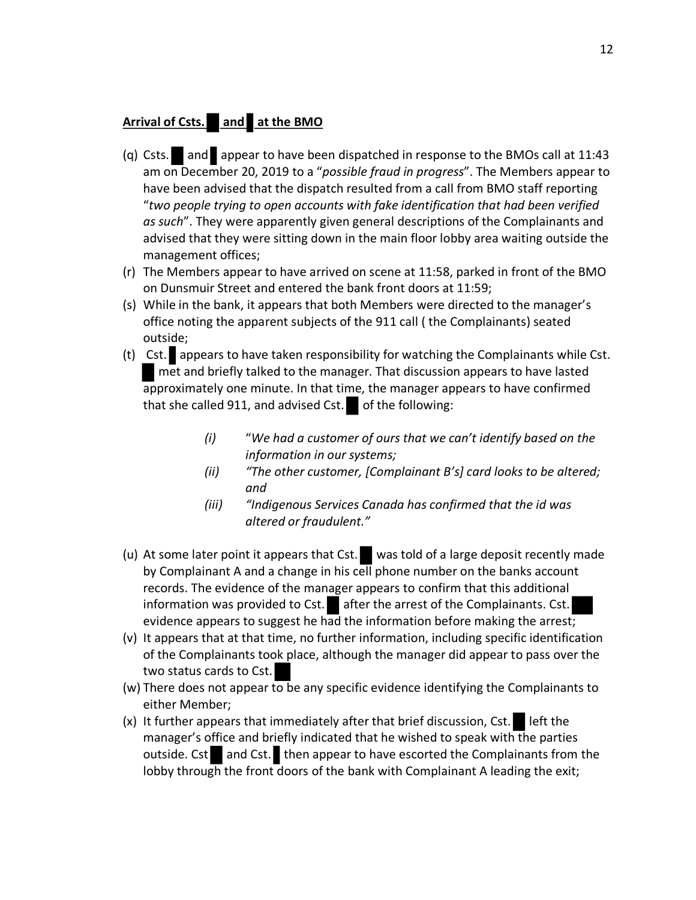# **Arrival of Csts.** and at the BMO

- (q) Csts. and appear to have been dispatched in response to the BMOs call at 11:43 am on December 20, 2019 to a "*possible fraud in progress*". The Members appear to have been advised that the dispatch resulted from a call from BMO staff reporting "*two people trying to open accounts with fake identification that had been verified as such*". They were apparently given general descriptions of the Complainants and advised that they were sitting down in the main floor lobby area waiting outside the management offices;
- (r) The Members appear to have arrived on scene at 11:58, parked in front of the BMO on Dunsmuir Street and entered the bank front doors at 11:59;
- (s) While in the bank, it appears that both Members were directed to the manager's office noting the apparent subjects of the 911 call ( the Complainants) seated outside;
- (t) Cst. appears to have taken responsibility for watching the Complainants while Cst. met and briefly talked to the manager. That discussion appears to have lasted approximately one minute. In that time, the manager appears to have confirmed that she called 911, and advised Cst. of the following:
	- *(i)* "*We had a customer of ours that we can't identify based on the information in our systems;*
	- *(ii) "The other customer, [Complainant B's] card looks to be altered; and*
	- *(iii) "Indigenous Services Canada has confirmed that the id was altered or fraudulent."*
- (u) At some later point it appears that  $Cst.$  was told of a large deposit recently made by Complainant A and a change in his cell phone number on the banks account records. The evidence of the manager appears to confirm that this additional information was provided to Cst. after the arrest of the Complainants. Cst. evidence appears to suggest he had the information before making the arrest;
- (v) It appears that at that time, no further information, including specific identification of the Complainants took place, although the manager did appear to pass over the two status cards to Cst.
- (w) There does not appear to be any specific evidence identifying the Complainants to either Member;
- (x) It further appears that immediately after that brief discussion, Cst. left the manager's office and briefly indicated that he wished to speak with the parties outside. Cst and Cst. then appear to have escorted the Complainants from the lobby through the front doors of the bank with Complainant A leading the exit;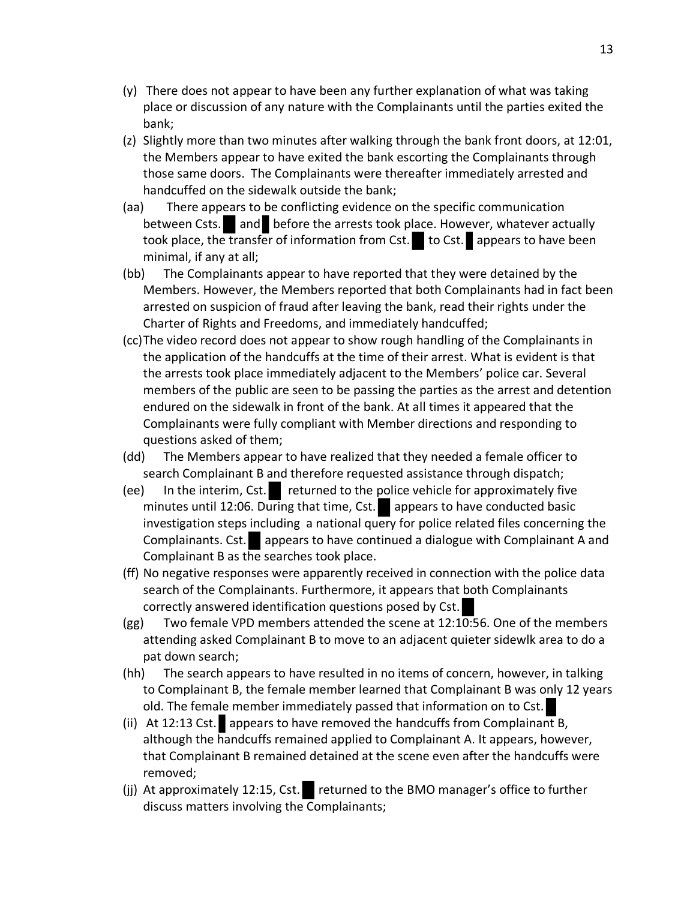- (y) There does not appear to have been any further explanation of what was taking place or discussion of any nature with the Complainants until the parties exited the bank;
- (z) Slightly more than two minutes after walking through the bank front doors, at 12:01, the Members appear to have exited the bank escorting the Complainants through those same doors. The Complainants were thereafter immediately arrested and handcuffed on the sidewalk outside the bank;
- (aa) There appears to be conflicting evidence on the specific communication between Csts. and before the arrests took place. However, whatever actually took place, the transfer of information from Cst. to Cst. appears to have been minimal, if any at all;
- (bb) The Complainants appear to have reported that they were detained by the Members. However, the Members reported that both Complainants had in fact been arrested on suspicion of fraud after leaving the bank, read their rights under the Charter of Rights and Freedoms, and immediately handcuffed;
- (cc)The video record does not appear to show rough handling of the Complainants in the application of the handcuffs at the time of their arrest. What is evident is that the arrests took place immediately adjacent to the Members' police car. Several members of the public are seen to be passing the parties as the arrest and detention endured on the sidewalk in front of the bank. At all times it appeared that the Complainants were fully compliant with Member directions and responding to questions asked of them;
- (dd) The Members appear to have realized that they needed a female officer to search Complainant B and therefore requested assistance through dispatch;
- $(ee)$  In the interim, Cst. returned to the police vehicle for approximately five minutes until 12:06. During that time, Cst. appears to have conducted basic investigation steps including a national query for police related files concerning the Complainants. Cst. appears to have continued a dialogue with Complainant A and Complainant B as the searches took place.
- (ff) No negative responses were apparently received in connection with the police data search of the Complainants. Furthermore, it appears that both Complainants correctly answered identification questions posed by Cst.
- (gg) Two female VPD members attended the scene at 12:10:56. One of the members attending asked Complainant B to move to an adjacent quieter sidewlk area to do a pat down search;
- (hh) The search appears to have resulted in no items of concern, however, in talking to Complainant B, the female member learned that Complainant B was only 12 years old. The female member immediately passed that information on to Cst.
- (ii) At 12:13 Cst. appears to have removed the handcuffs from Complainant B, although the handcuffs remained applied to Complainant A. It appears, however, that Complainant B remained detained at the scene even after the handcuffs were removed;
- (jj) At approximately 12:15, Cst. returned to the BMO manager's office to further discuss matters involving the Complainants;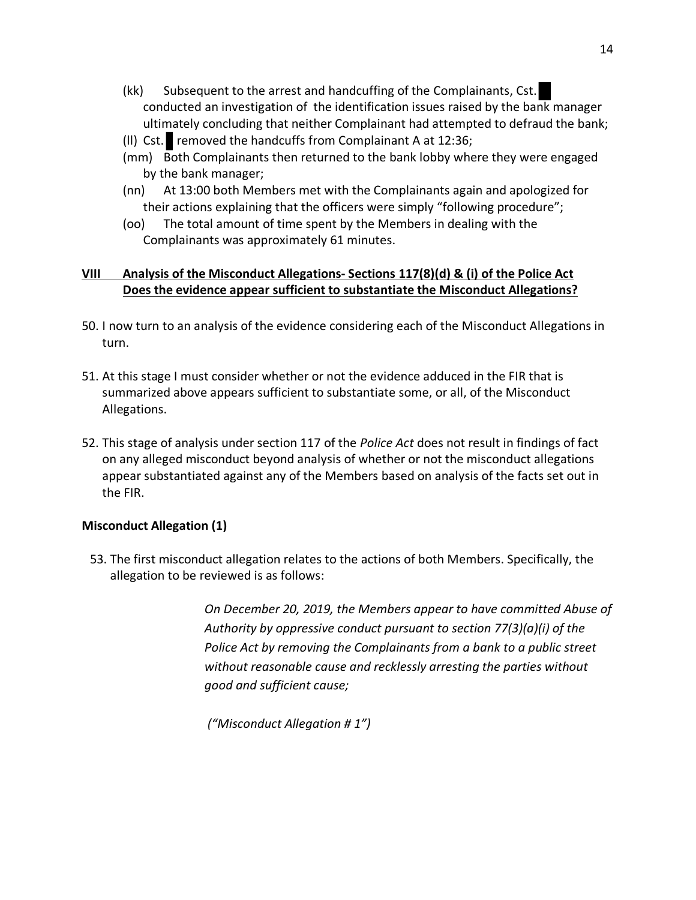- (kk) Subsequent to the arrest and handcuffing of the Complainants, Cst. conducted an investigation of the identification issues raised by the bank manager ultimately concluding that neither Complainant had attempted to defraud the bank;
- (II) Cst. removed the handcuffs from Complainant A at  $12:36$ ;
- (mm) Both Complainants then returned to the bank lobby where they were engaged by the bank manager;
- (nn) At 13:00 both Members met with the Complainants again and apologized for their actions explaining that the officers were simply "following procedure";
- (oo) The total amount of time spent by the Members in dealing with the Complainants was approximately 61 minutes.

## **VIII Analysis of the Misconduct Allegations- Sections 117(8)(d) & (i) of the Police Act Does the evidence appear sufficient to substantiate the Misconduct Allegations?**

- 50. I now turn to an analysis of the evidence considering each of the Misconduct Allegations in turn.
- 51. At this stage I must consider whether or not the evidence adduced in the FIR that is summarized above appears sufficient to substantiate some, or all, of the Misconduct Allegations.
- 52. This stage of analysis under section 117 of the *Police Act* does not result in findings of fact on any alleged misconduct beyond analysis of whether or not the misconduct allegations appear substantiated against any of the Members based on analysis of the facts set out in the FIR.

## **Misconduct Allegation (1)**

53. The first misconduct allegation relates to the actions of both Members. Specifically, the allegation to be reviewed is as follows:

> *On December 20, 2019, the Members appear to have committed Abuse of Authority by oppressive conduct pursuant to section 77(3)(a)(i) of the Police Act by removing the Complainants from a bank to a public street without reasonable cause and recklessly arresting the parties without good and sufficient cause;*

*("Misconduct Allegation # 1")*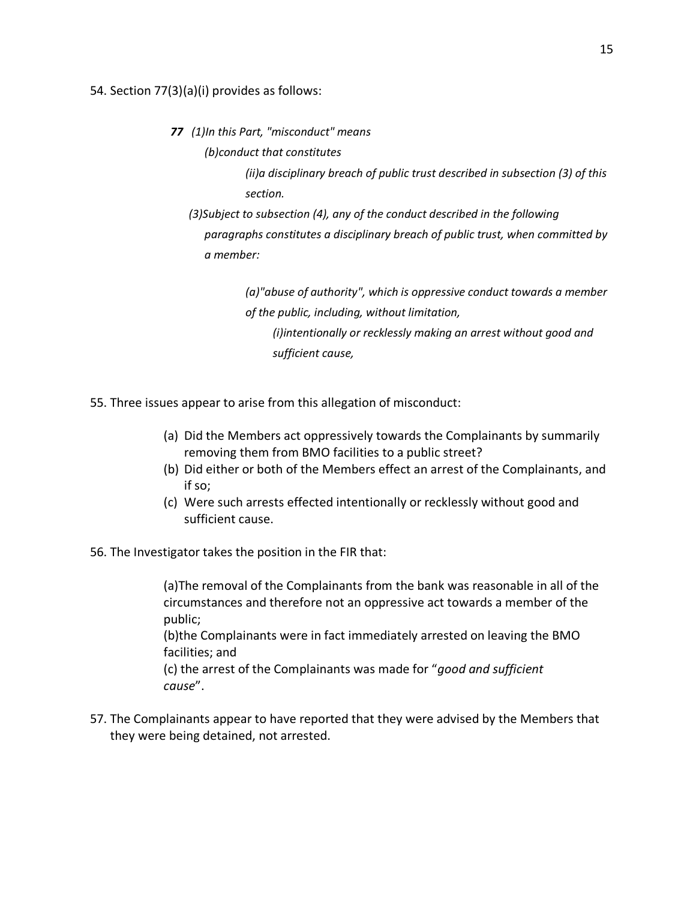#### 54. Section 77(3)(a)(i) provides as follows:

- *77 (1)In this Part, "misconduct" means*
	- *(b)conduct that constitutes*

*(ii)a disciplinary breach of public trust described in subsection (3) of this section.*

 *(3)Subject to subsection (4), any of the conduct described in the following paragraphs constitutes a disciplinary breach of public trust, when committed by a member:*

> *(a)"abuse of authority", which is oppressive conduct towards a member of the public, including, without limitation, (i)intentionally or recklessly making an arrest without good and sufficient cause,*

- 55. Three issues appear to arise from this allegation of misconduct:
	- (a) Did the Members act oppressively towards the Complainants by summarily removing them from BMO facilities to a public street?
	- (b) Did either or both of the Members effect an arrest of the Complainants, and if so;
	- (c) Were such arrests effected intentionally or recklessly without good and sufficient cause.
- 56. The Investigator takes the position in the FIR that:

(a)The removal of the Complainants from the bank was reasonable in all of the circumstances and therefore not an oppressive act towards a member of the public;

(b)the Complainants were in fact immediately arrested on leaving the BMO facilities; and

(c) the arrest of the Complainants was made for "*good and sufficient cause*".

57. The Complainants appear to have reported that they were advised by the Members that they were being detained, not arrested.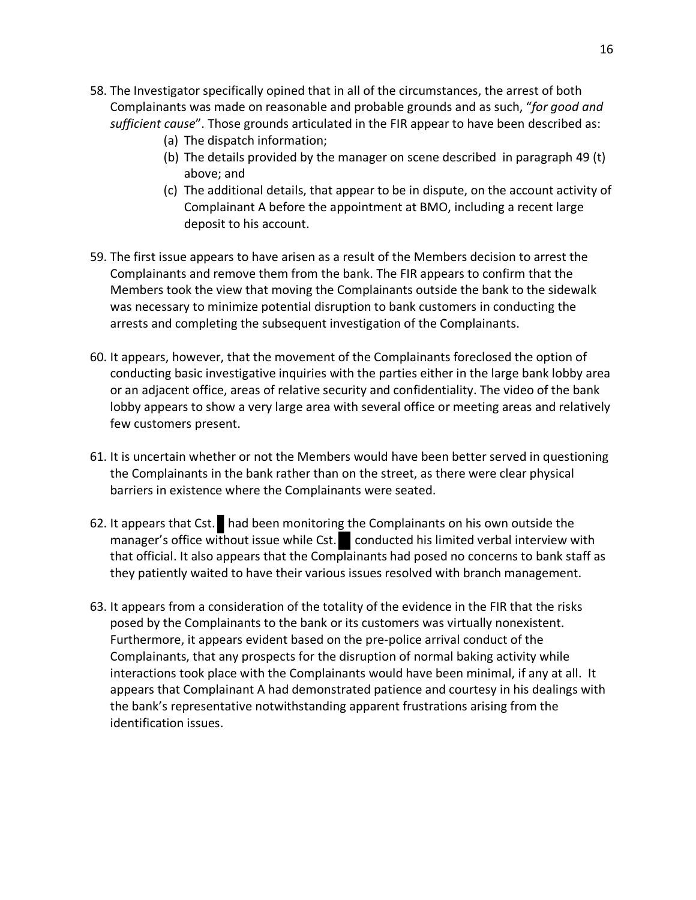- 58. The Investigator specifically opined that in all of the circumstances, the arrest of both Complainants was made on reasonable and probable grounds and as such, "*for good and sufficient cause*". Those grounds articulated in the FIR appear to have been described as:
	- (a) The dispatch information;
	- (b) The details provided by the manager on scene described in paragraph 49 (t) above; and
	- (c) The additional details, that appear to be in dispute, on the account activity of Complainant A before the appointment at BMO, including a recent large deposit to his account.
- 59. The first issue appears to have arisen as a result of the Members decision to arrest the Complainants and remove them from the bank. The FIR appears to confirm that the Members took the view that moving the Complainants outside the bank to the sidewalk was necessary to minimize potential disruption to bank customers in conducting the arrests and completing the subsequent investigation of the Complainants.
- 60. It appears, however, that the movement of the Complainants foreclosed the option of conducting basic investigative inquiries with the parties either in the large bank lobby area or an adjacent office, areas of relative security and confidentiality. The video of the bank lobby appears to show a very large area with several office or meeting areas and relatively few customers present.
- 61. It is uncertain whether or not the Members would have been better served in questioning the Complainants in the bank rather than on the street, as there were clear physical barriers in existence where the Complainants were seated.
- 62. It appears that Cst. had been monitoring the Complainants on his own outside the manager's office without issue while Cst. conducted his limited verbal interview with that official. It also appears that the Complainants had posed no concerns to bank staff as they patiently waited to have their various issues resolved with branch management.
- 63. It appears from a consideration of the totality of the evidence in the FIR that the risks posed by the Complainants to the bank or its customers was virtually nonexistent. Furthermore, it appears evident based on the pre-police arrival conduct of the Complainants, that any prospects for the disruption of normal baking activity while interactions took place with the Complainants would have been minimal, if any at all. It appears that Complainant A had demonstrated patience and courtesy in his dealings with the bank's representative notwithstanding apparent frustrations arising from the identification issues.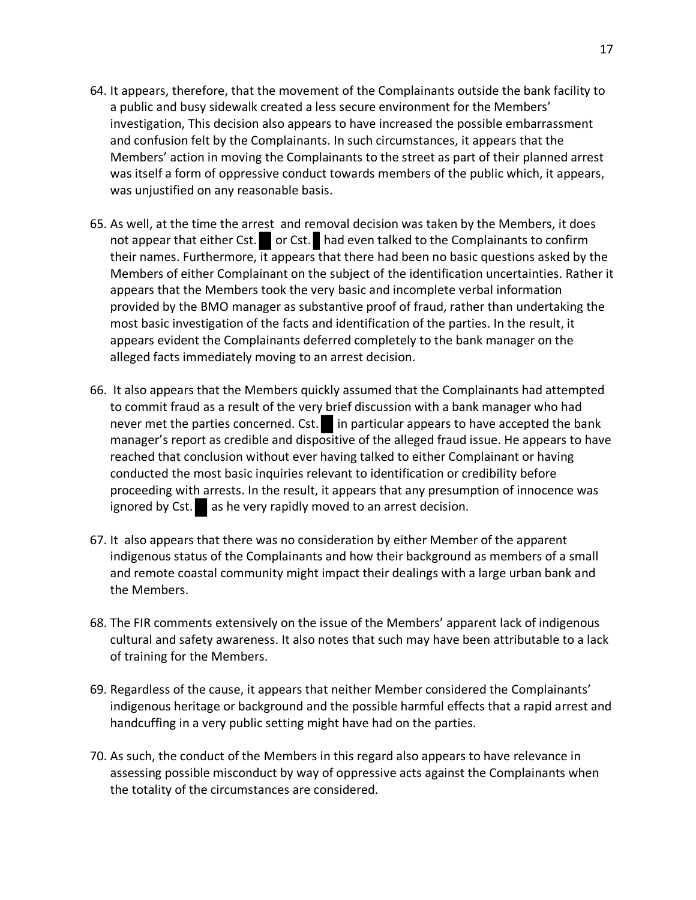- 64. It appears, therefore, that the movement of the Complainants outside the bank facility to a public and busy sidewalk created a less secure environment for the Members' investigation, This decision also appears to have increased the possible embarrassment and confusion felt by the Complainants. In such circumstances, it appears that the Members' action in moving the Complainants to the street as part of their planned arrest was itself a form of oppressive conduct towards members of the public which, it appears, was unjustified on any reasonable basis.
- 65. As well, at the time the arrest and removal decision was taken by the Members, it does not appear that either Cst.  $\bullet$  or Cst. had even talked to the Complainants to confirm their names. Furthermore, it appears that there had been no basic questions asked by the Members of either Complainant on the subject of the identification uncertainties. Rather it appears that the Members took the very basic and incomplete verbal information provided by the BMO manager as substantive proof of fraud, rather than undertaking the most basic investigation of the facts and identification of the parties. In the result, it appears evident the Complainants deferred completely to the bank manager on the alleged facts immediately moving to an arrest decision.
- 66. It also appears that the Members quickly assumed that the Complainants had attempted to commit fraud as a result of the very brief discussion with a bank manager who had never met the parties concerned. Cst.  $\blacksquare$  in particular appears to have accepted the bank manager's report as credible and dispositive of the alleged fraud issue. He appears to have reached that conclusion without ever having talked to either Complainant or having conducted the most basic inquiries relevant to identification or credibility before proceeding with arrests. In the result, it appears that any presumption of innocence was ignored by Cst. as he very rapidly moved to an arrest decision.
- 67. It also appears that there was no consideration by either Member of the apparent indigenous status of the Complainants and how their background as members of a small and remote coastal community might impact their dealings with a large urban bank and the Members.
- 68. The FIR comments extensively on the issue of the Members' apparent lack of indigenous cultural and safety awareness. It also notes that such may have been attributable to a lack of training for the Members.
- 69. Regardless of the cause, it appears that neither Member considered the Complainants' indigenous heritage or background and the possible harmful effects that a rapid arrest and handcuffing in a very public setting might have had on the parties.
- 70. As such, the conduct of the Members in this regard also appears to have relevance in assessing possible misconduct by way of oppressive acts against the Complainants when the totality of the circumstances are considered.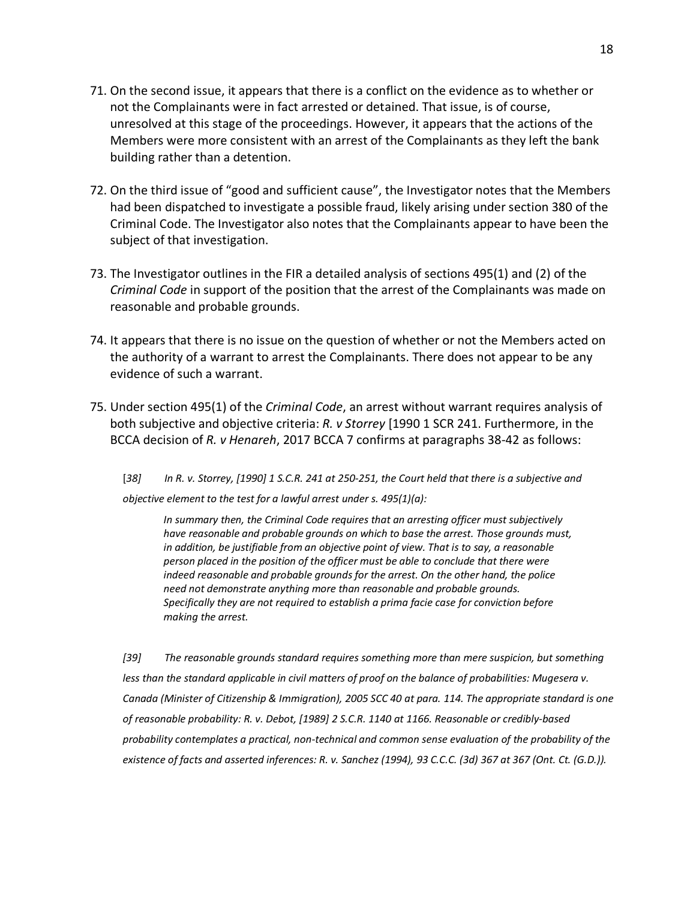- 71. On the second issue, it appears that there is a conflict on the evidence as to whether or not the Complainants were in fact arrested or detained. That issue, is of course, unresolved at this stage of the proceedings. However, it appears that the actions of the Members were more consistent with an arrest of the Complainants as they left the bank building rather than a detention.
- 72. On the third issue of "good and sufficient cause", the Investigator notes that the Members had been dispatched to investigate a possible fraud, likely arising under section 380 of the Criminal Code. The Investigator also notes that the Complainants appear to have been the subject of that investigation.
- 73. The Investigator outlines in the FIR a detailed analysis of sections 495(1) and (2) of the *Criminal Code* in support of the position that the arrest of the Complainants was made on reasonable and probable grounds.
- 74. It appears that there is no issue on the question of whether or not the Members acted on the authority of a warrant to arrest the Complainants. There does not appear to be any evidence of such a warrant.
- 75. Under section 495(1) of the *Criminal Code*, an arrest without warrant requires analysis of both subjective and objective criteria: *R. v Storrey* [1990 1 SCR 241. Furthermore, in the BCCA decision of *R. v Henareh*, 2017 BCCA 7 confirms at paragraphs 38-42 as follows:

[*38] In R. v. Storrey, [1990] 1 S.C.R. 241 at 250-251, the Court held that there is a subjective and objective element to the test for a lawful arrest under s. 495(1)(a):*

*In summary then, the Criminal Code requires that an arresting officer must subjectively have reasonable and probable grounds on which to base the arrest. Those grounds must, in addition, be justifiable from an objective point of view. That is to say, a reasonable person placed in the position of the officer must be able to conclude that there were indeed reasonable and probable grounds for the arrest. On the other hand, the police need not demonstrate anything more than reasonable and probable grounds. Specifically they are not required to establish a prima facie case for conviction before making the arrest.*

*[39] The reasonable grounds standard requires something more than mere suspicion, but something less than the standard applicable in civil matters of proof on the balance of probabilities: Mugesera v. Canada (Minister of Citizenship & Immigration), 2005 SCC 40 at para. 114. The appropriate standard is one of reasonable probability: R. v. Debot, [1989] 2 S.C.R. 1140 at 1166. Reasonable or credibly-based probability contemplates a practical, non-technical and common sense evaluation of the probability of the existence of facts and asserted inferences: R. v. Sanchez (1994), 93 C.C.C. (3d) 367 at 367 (Ont. Ct. (G.D.)).*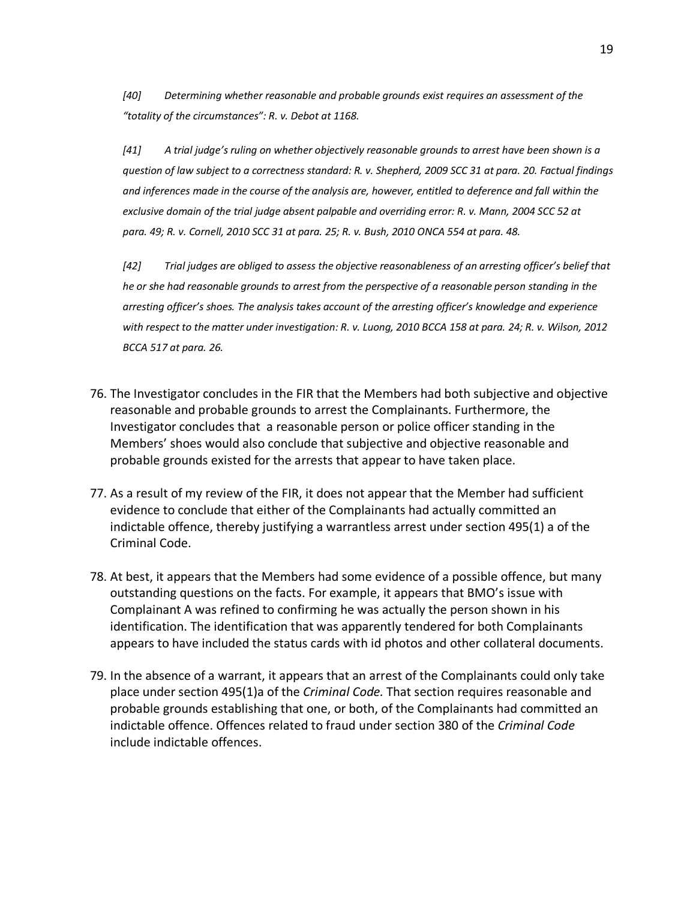*[40] Determining whether reasonable and probable grounds exist requires an assessment of the "totality of the circumstances": R. v. Debot at 1168.*

*[41] A trial judge's ruling on whether objectively reasonable grounds to arrest have been shown is a question of law subject to a correctness standard: R. v. Shepherd, 2009 SCC 31 at para. 20. Factual findings and inferences made in the course of the analysis are, however, entitled to deference and fall within the exclusive domain of the trial judge absent palpable and overriding error: R. v. Mann, 2004 SCC 52 at para. 49; R. v. Cornell, 2010 SCC 31 at para. 25; R. v. Bush, 2010 ONCA 554 at para. 48.*

*[42] Trial judges are obliged to assess the objective reasonableness of an arresting officer's belief that he or she had reasonable grounds to arrest from the perspective of a reasonable person standing in the arresting officer's shoes. The analysis takes account of the arresting officer's knowledge and experience with respect to the matter under investigation: R. v. Luong, 2010 BCCA 158 at para. 24; R. v. Wilson, 2012 BCCA 517 at para. 26.*

- 76. The Investigator concludes in the FIR that the Members had both subjective and objective reasonable and probable grounds to arrest the Complainants. Furthermore, the Investigator concludes that a reasonable person or police officer standing in the Members' shoes would also conclude that subjective and objective reasonable and probable grounds existed for the arrests that appear to have taken place.
- 77. As a result of my review of the FIR, it does not appear that the Member had sufficient evidence to conclude that either of the Complainants had actually committed an indictable offence, thereby justifying a warrantless arrest under section 495(1) a of the Criminal Code.
- 78. At best, it appears that the Members had some evidence of a possible offence, but many outstanding questions on the facts. For example, it appears that BMO's issue with Complainant A was refined to confirming he was actually the person shown in his identification. The identification that was apparently tendered for both Complainants appears to have included the status cards with id photos and other collateral documents.
- 79. In the absence of a warrant, it appears that an arrest of the Complainants could only take place under section 495(1)a of the *Criminal Code.* That section requires reasonable and probable grounds establishing that one, or both, of the Complainants had committed an indictable offence. Offences related to fraud under section 380 of the *Criminal Code* include indictable offences.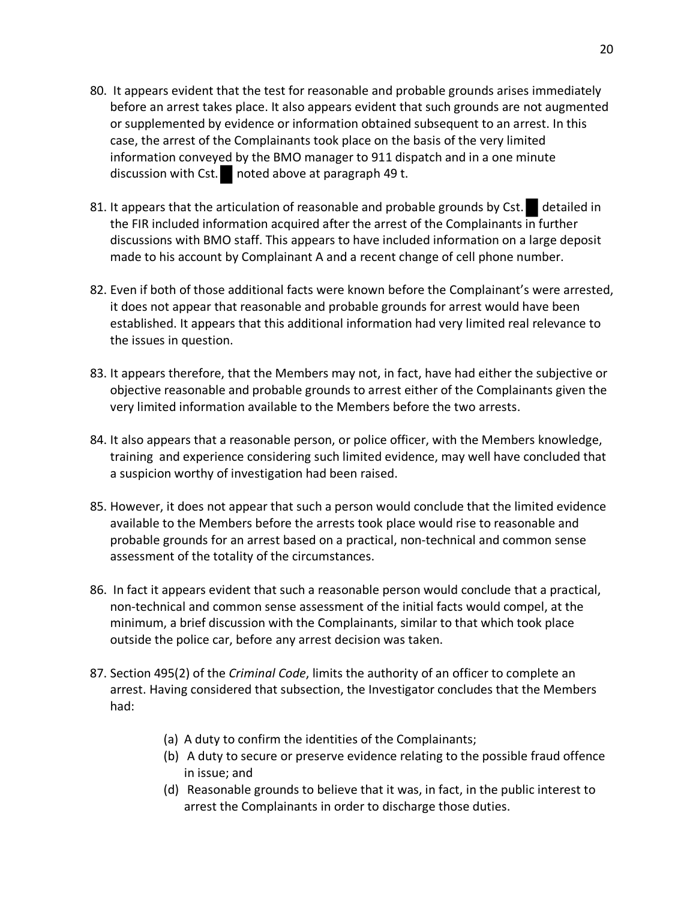- 80. It appears evident that the test for reasonable and probable grounds arises immediately before an arrest takes place. It also appears evident that such grounds are not augmented or supplemented by evidence or information obtained subsequent to an arrest. In this case, the arrest of the Complainants took place on the basis of the very limited information conveyed by the BMO manager to 911 dispatch and in a one minute discussion with Cst. noted above at paragraph 49 t.
- 81. It appears that the articulation of reasonable and probable grounds by Cst. detailed in the FIR included information acquired after the arrest of the Complainants in further discussions with BMO staff. This appears to have included information on a large deposit made to his account by Complainant A and a recent change of cell phone number.
- 82. Even if both of those additional facts were known before the Complainant's were arrested, it does not appear that reasonable and probable grounds for arrest would have been established. It appears that this additional information had very limited real relevance to the issues in question.
- 83. It appears therefore, that the Members may not, in fact, have had either the subjective or objective reasonable and probable grounds to arrest either of the Complainants given the very limited information available to the Members before the two arrests.
- 84. It also appears that a reasonable person, or police officer, with the Members knowledge, training and experience considering such limited evidence, may well have concluded that a suspicion worthy of investigation had been raised.
- 85. However, it does not appear that such a person would conclude that the limited evidence available to the Members before the arrests took place would rise to reasonable and probable grounds for an arrest based on a practical, non-technical and common sense assessment of the totality of the circumstances.
- 86. In fact it appears evident that such a reasonable person would conclude that a practical, non-technical and common sense assessment of the initial facts would compel, at the minimum, a brief discussion with the Complainants, similar to that which took place outside the police car, before any arrest decision was taken.
- 87. Section 495(2) of the *Criminal Code*, limits the authority of an officer to complete an arrest. Having considered that subsection, the Investigator concludes that the Members had:
	- (a) A duty to confirm the identities of the Complainants;
	- (b) A duty to secure or preserve evidence relating to the possible fraud offence in issue; and
	- (d) Reasonable grounds to believe that it was, in fact, in the public interest to arrest the Complainants in order to discharge those duties.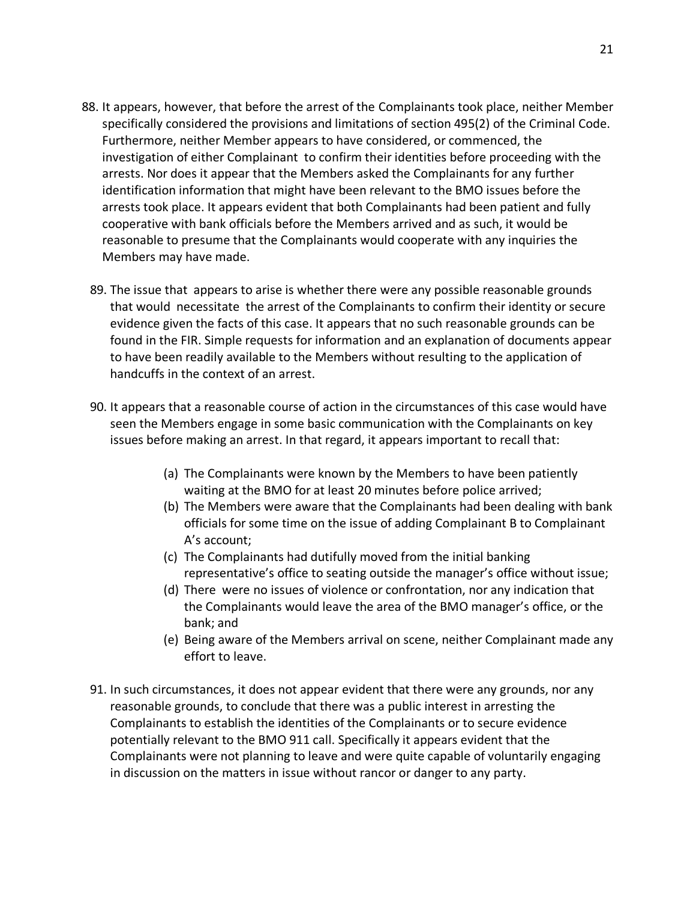- 88. It appears, however, that before the arrest of the Complainants took place, neither Member specifically considered the provisions and limitations of section 495(2) of the Criminal Code. Furthermore, neither Member appears to have considered, or commenced, the investigation of either Complainant to confirm their identities before proceeding with the arrests. Nor does it appear that the Members asked the Complainants for any further identification information that might have been relevant to the BMO issues before the arrests took place. It appears evident that both Complainants had been patient and fully cooperative with bank officials before the Members arrived and as such, it would be reasonable to presume that the Complainants would cooperate with any inquiries the Members may have made.
	- 89. The issue that appears to arise is whether there were any possible reasonable grounds that would necessitate the arrest of the Complainants to confirm their identity or secure evidence given the facts of this case. It appears that no such reasonable grounds can be found in the FIR. Simple requests for information and an explanation of documents appear to have been readily available to the Members without resulting to the application of handcuffs in the context of an arrest.
	- 90. It appears that a reasonable course of action in the circumstances of this case would have seen the Members engage in some basic communication with the Complainants on key issues before making an arrest. In that regard, it appears important to recall that:
		- (a) The Complainants were known by the Members to have been patiently waiting at the BMO for at least 20 minutes before police arrived;
		- (b) The Members were aware that the Complainants had been dealing with bank officials for some time on the issue of adding Complainant B to Complainant A's account;
		- (c) The Complainants had dutifully moved from the initial banking representative's office to seating outside the manager's office without issue;
		- (d) There were no issues of violence or confrontation, nor any indication that the Complainants would leave the area of the BMO manager's office, or the bank; and
		- (e) Being aware of the Members arrival on scene, neither Complainant made any effort to leave.
	- 91. In such circumstances, it does not appear evident that there were any grounds, nor any reasonable grounds, to conclude that there was a public interest in arresting the Complainants to establish the identities of the Complainants or to secure evidence potentially relevant to the BMO 911 call. Specifically it appears evident that the Complainants were not planning to leave and were quite capable of voluntarily engaging in discussion on the matters in issue without rancor or danger to any party.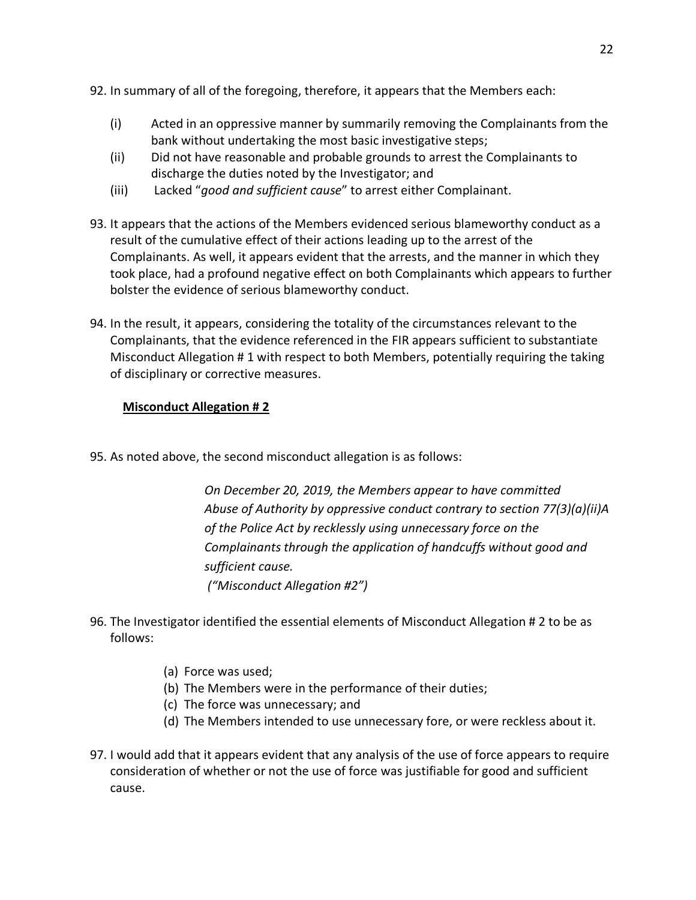- 92. In summary of all of the foregoing, therefore, it appears that the Members each:
	- (i) Acted in an oppressive manner by summarily removing the Complainants from the bank without undertaking the most basic investigative steps;
	- (ii) Did not have reasonable and probable grounds to arrest the Complainants to discharge the duties noted by the Investigator; and
	- (iii) Lacked "*good and sufficient cause*" to arrest either Complainant.
- 93. It appears that the actions of the Members evidenced serious blameworthy conduct as a result of the cumulative effect of their actions leading up to the arrest of the Complainants. As well, it appears evident that the arrests, and the manner in which they took place, had a profound negative effect on both Complainants which appears to further bolster the evidence of serious blameworthy conduct.
- 94. In the result, it appears, considering the totality of the circumstances relevant to the Complainants, that the evidence referenced in the FIR appears sufficient to substantiate Misconduct Allegation # 1 with respect to both Members, potentially requiring the taking of disciplinary or corrective measures.

## **Misconduct Allegation # 2**

95. As noted above, the second misconduct allegation is as follows:

*On December 20, 2019, the Members appear to have committed Abuse of Authority by oppressive conduct contrary to section 77(3)(a)(ii)A of the Police Act by recklessly using unnecessary force on the Complainants through the application of handcuffs without good and sufficient cause. ("Misconduct Allegation #2")*

- 96. The Investigator identified the essential elements of Misconduct Allegation # 2 to be as follows:
	- (a) Force was used;
	- (b) The Members were in the performance of their duties;
	- (c) The force was unnecessary; and
	- (d) The Members intended to use unnecessary fore, or were reckless about it.
- 97. I would add that it appears evident that any analysis of the use of force appears to require consideration of whether or not the use of force was justifiable for good and sufficient cause.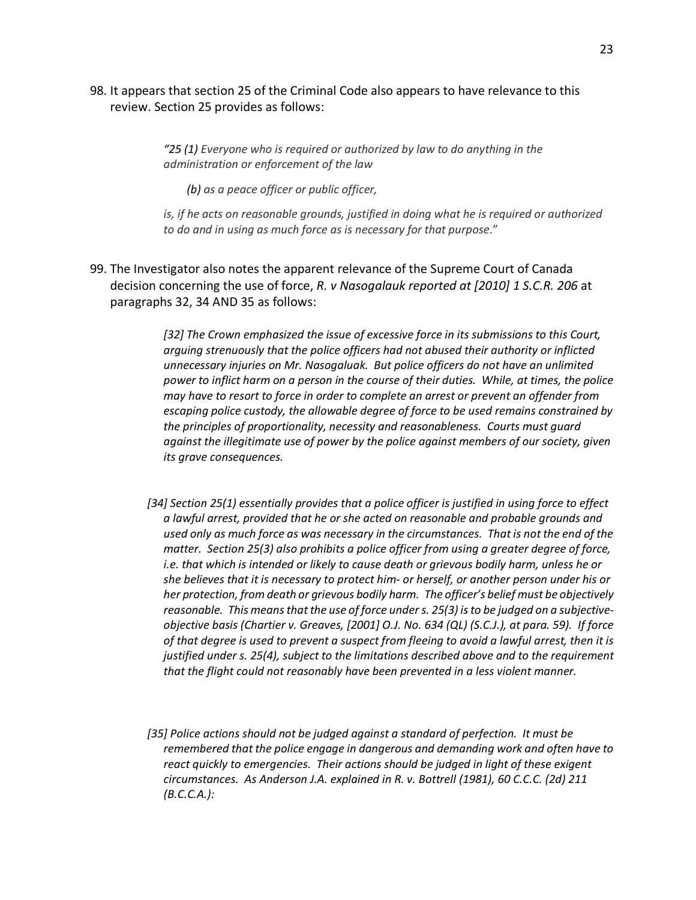98. It appears that section 25 of the Criminal Code also appears to have relevance to this review. Section 25 provides as follows:

> *"25 (1) Everyone who is required or authorized by law to do anything in the administration or enforcement of the law*

*(b) as a peace officer or public officer,*

*is, if he acts on reasonable grounds, justified in doing what he is required or authorized to do and in using as much force as is necessary for that purpose*."

99. The Investigator also notes the apparent relevance of the Supreme Court of Canada decision concerning the use of force, *R. v Nasogalauk reported at [2010] 1 S.C.R. 206* at paragraphs 32, 34 AND 35 as follows:

> *[32] The Crown emphasized the issue of excessive force in its submissions to this Court, arguing strenuously that the police officers had not abused their authority or inflicted unnecessary injuries on Mr. Nasogaluak. But police officers do not have an unlimited power to inflict harm on a person in the course of their duties. While, at times, the police may have to resort to force in order to complete an arrest or prevent an offender from escaping police custody, the allowable degree of force to be used remains constrained by the principles of proportionality, necessity and reasonableness. Courts must guard against the illegitimate use of power by the police against members of our society, given its grave consequences.*

- *[34] Section 25(1) essentially provides that a police officer is justified in using force to effect a lawful arrest, provided that he or she acted on reasonable and probable grounds and used only as much force as was necessary in the circumstances. That is not the end of the matter. Section 25(3) also prohibits a police officer from using a greater degree of force, i.e. that which is intended or likely to cause death or grievous bodily harm, unless he or she believes that it is necessary to protect him- or herself, or another person under his or her protection, from death or grievous bodily harm. The officer's belief must be objectively reasonable. This means that the use of force under s. 25(3) is to be judged on a subjectiveobjective basis (Chartier v. Greaves, [2001] O.J. No. 634 (QL) (S.C.J.), at para. 59). If force of that degree is used to prevent a suspect from fleeing to avoid a lawful arrest, then it is justified under s. 25(4), subject to the limitations described above and to the requirement that the flight could not reasonably have been prevented in a less violent manner.*
- *[35] Police actions should not be judged against a standard of perfection. It must be remembered that the police engage in dangerous and demanding work and often have to react quickly to emergencies. Their actions should be judged in light of these exigent circumstances. As Anderson J.A. explained in R. v. Bottrell (1981), 60 C.C.C. (2d) 211 (B.C.C.A.):*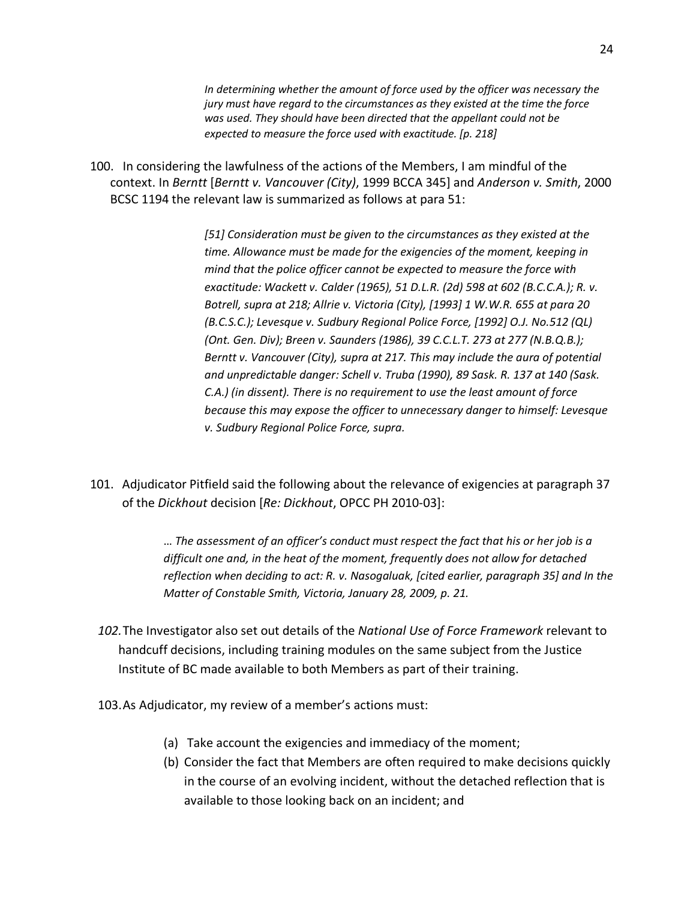*In determining whether the amount of force used by the officer was necessary the jury must have regard to the circumstances as they existed at the time the force was used. They should have been directed that the appellant could not be expected to measure the force used with exactitude. [p. 218]*

100. In considering the lawfulness of the actions of the Members, I am mindful of the context. In *Berntt* [*Berntt v. Vancouver (City)*, 1999 BCCA 345] and *Anderson v. Smith*, 2000 BCSC 1194 the relevant law is summarized as follows at para 51:

> *[51] Consideration must be given to the circumstances as they existed at the time. Allowance must be made for the exigencies of the moment, keeping in mind that the police officer cannot be expected to measure the force with exactitude: Wackett v. Calder (1965), 51 D.L.R. (2d) 598 at 602 (B.C.C.A.); R. v. Botrell, supra at 218; Allrie v. Victoria (City), [1993] 1 W.W.R. 655 at para 20 (B.C.S.C.); Levesque v. Sudbury Regional Police Force, [1992] O.J. No.512 (QL) (Ont. Gen. Div); Breen v. Saunders (1986), 39 C.C.L.T. 273 at 277 (N.B.Q.B.); Berntt v. Vancouver (City), supra at 217. This may include the aura of potential and unpredictable danger: Schell v. Truba (1990), 89 Sask. R. 137 at 140 (Sask. C.A.) (in dissent). There is no requirement to use the least amount of force because this may expose the officer to unnecessary danger to himself: Levesque v. Sudbury Regional Police Force, supra.*

101. Adjudicator Pitfield said the following about the relevance of exigencies at paragraph 37 of the *Dickhout* decision [*Re: Dickhout*, OPCC PH 2010-03]:

> … *The assessment of an officer's conduct must respect the fact that his or her job is a difficult one and, in the heat of the moment, frequently does not allow for detached reflection when deciding to act: R. v. Nasogaluak, [cited earlier, paragraph 35] and In the Matter of Constable Smith, Victoria, January 28, 2009, p. 21.*

- *102.*The Investigator also set out details of the *National Use of Force Framework* relevant to handcuff decisions, including training modules on the same subject from the Justice Institute of BC made available to both Members as part of their training.
- 103.As Adjudicator, my review of a member's actions must:
	- (a) Take account the exigencies and immediacy of the moment;
	- (b) Consider the fact that Members are often required to make decisions quickly in the course of an evolving incident, without the detached reflection that is available to those looking back on an incident; and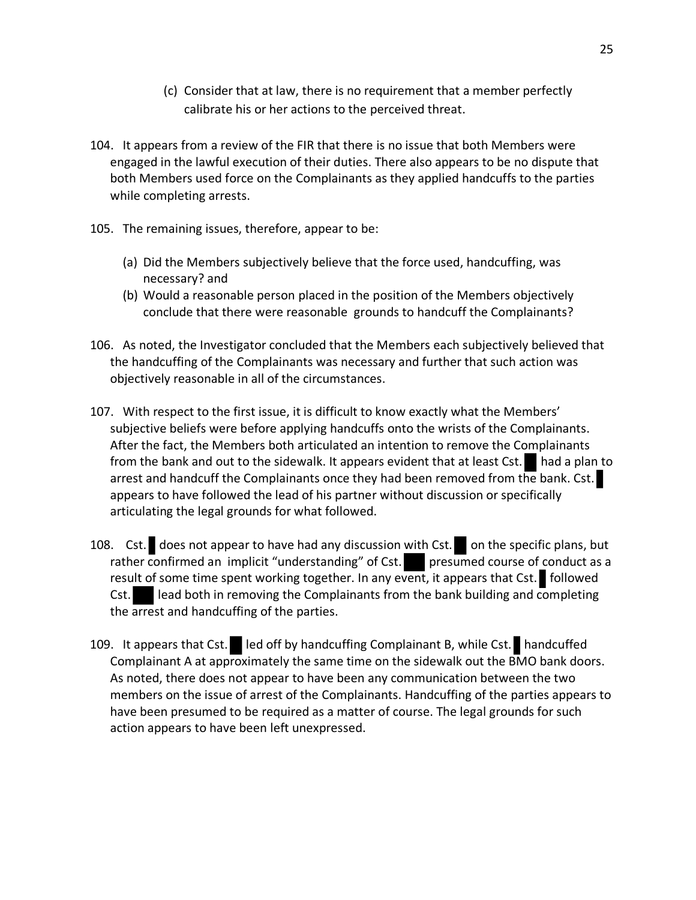- (c) Consider that at law, there is no requirement that a member perfectly calibrate his or her actions to the perceived threat.
- 104. It appears from a review of the FIR that there is no issue that both Members were engaged in the lawful execution of their duties. There also appears to be no dispute that both Members used force on the Complainants as they applied handcuffs to the parties while completing arrests.
- 105. The remaining issues, therefore, appear to be:
	- (a) Did the Members subjectively believe that the force used, handcuffing, was necessary? and
	- (b) Would a reasonable person placed in the position of the Members objectively conclude that there were reasonable grounds to handcuff the Complainants?
- 106. As noted, the Investigator concluded that the Members each subjectively believed that the handcuffing of the Complainants was necessary and further that such action was objectively reasonable in all of the circumstances.
- 107. With respect to the first issue, it is difficult to know exactly what the Members' subjective beliefs were before applying handcuffs onto the wrists of the Complainants. After the fact, the Members both articulated an intention to remove the Complainants from the bank and out to the sidewalk. It appears evident that at least Cst.  $\blacksquare$  had a plan to arrest and handcuff the Complainants once they had been removed from the bank. Cst. appears to have followed the lead of his partner without discussion or specifically articulating the legal grounds for what followed.
- 108. Cst. does not appear to have had any discussion with Cst. on the specific plans, but rather confirmed an implicit "understanding" of Cst. presumed course of conduct as a result of some time spent working together. In any event, it appears that Cst. followed Cst. lead both in removing the Complainants from the bank building and completing the arrest and handcuffing of the parties.
- 109. It appears that Cst. led off by handcuffing Complainant B, while Cst. handcuffed Complainant A at approximately the same time on the sidewalk out the BMO bank doors. As noted, there does not appear to have been any communication between the two members on the issue of arrest of the Complainants. Handcuffing of the parties appears to have been presumed to be required as a matter of course. The legal grounds for such action appears to have been left unexpressed.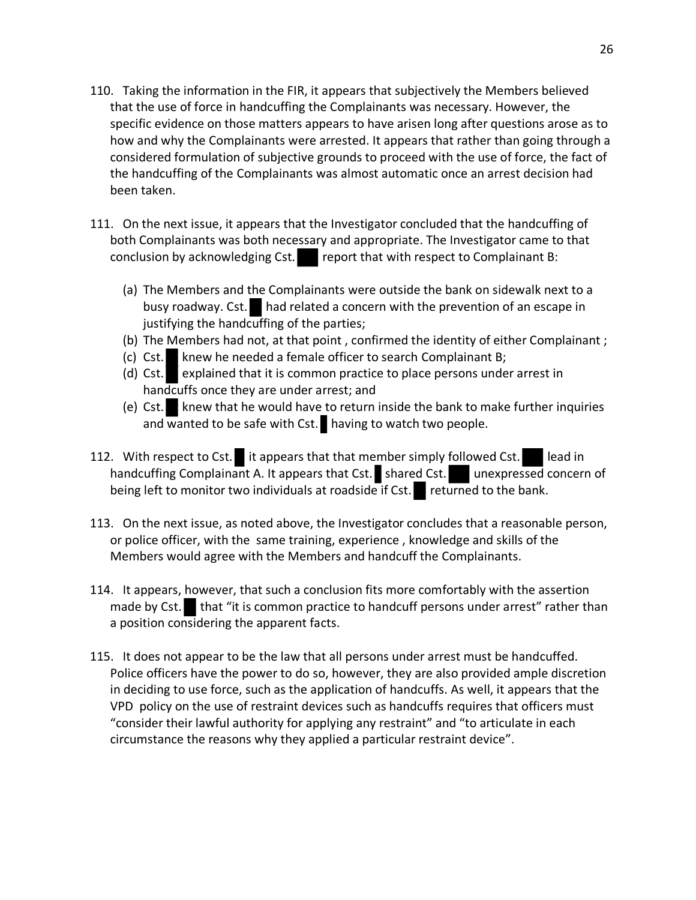- 110. Taking the information in the FIR, it appears that subjectively the Members believed that the use of force in handcuffing the Complainants was necessary. However, the specific evidence on those matters appears to have arisen long after questions arose as to how and why the Complainants were arrested. It appears that rather than going through a considered formulation of subjective grounds to proceed with the use of force, the fact of the handcuffing of the Complainants was almost automatic once an arrest decision had been taken.
- 111. On the next issue, it appears that the Investigator concluded that the handcuffing of both Complainants was both necessary and appropriate. The Investigator came to that conclusion by acknowledging Cst. report that with respect to Complainant B:
	- (a) The Members and the Complainants were outside the bank on sidewalk next to a busy roadway. Cst. had related a concern with the prevention of an escape in justifying the handcuffing of the parties;
	- (b) The Members had not, at that point , confirmed the identity of either Complainant ;
	- (c) Cst. knew he needed a female officer to search Complainant B;
	- (d) Cst. explained that it is common practice to place persons under arrest in handcuffs once they are under arrest; and
	- (e) Cst. knew that he would have to return inside the bank to make further inquiries and wanted to be safe with Cst. having to watch two people.
- 112. With respect to Cst. it appears that that member simply followed Cst. lead in handcuffing Complainant A. It appears that Cst. shared Cst. unexpressed concern of being left to monitor two individuals at roadside if Cst. returned to the bank.
- 113. On the next issue, as noted above, the Investigator concludes that a reasonable person, or police officer, with the same training, experience , knowledge and skills of the Members would agree with the Members and handcuff the Complainants.
- 114. It appears, however, that such a conclusion fits more comfortably with the assertion made by Cst. that "it is common practice to handcuff persons under arrest" rather than a position considering the apparent facts.
- 115. It does not appear to be the law that all persons under arrest must be handcuffed. Police officers have the power to do so, however, they are also provided ample discretion in deciding to use force, such as the application of handcuffs. As well, it appears that the VPD policy on the use of restraint devices such as handcuffs requires that officers must "consider their lawful authority for applying any restraint" and "to articulate in each circumstance the reasons why they applied a particular restraint device".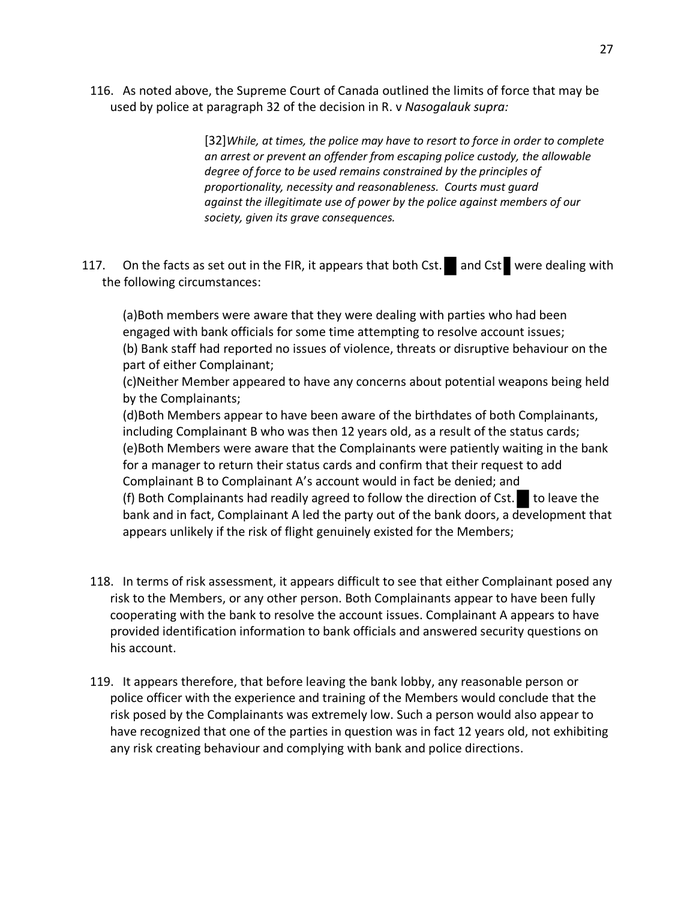116. As noted above, the Supreme Court of Canada outlined the limits of force that may be used by police at paragraph 32 of the decision in R. v *Nasogalauk supra:*

> [32]*While, at times, the police may have to resort to force in order to complete an arrest or prevent an offender from escaping police custody, the allowable degree of force to be used remains constrained by the principles of proportionality, necessity and reasonableness. Courts must guard against the illegitimate use of power by the police against members of our society, given its grave consequences.*

117. On the facts as set out in the FIR, it appears that both Cst. and Cst were dealing with the following circumstances:

(a)Both members were aware that they were dealing with parties who had been engaged with bank officials for some time attempting to resolve account issues; (b) Bank staff had reported no issues of violence, threats or disruptive behaviour on the part of either Complainant;

(c)Neither Member appeared to have any concerns about potential weapons being held by the Complainants;

(d)Both Members appear to have been aware of the birthdates of both Complainants, including Complainant B who was then 12 years old, as a result of the status cards; (e)Both Members were aware that the Complainants were patiently waiting in the bank for a manager to return their status cards and confirm that their request to add Complainant B to Complainant A's account would in fact be denied; and (f) Both Complainants had readily agreed to follow the direction of Cst. to leave the bank and in fact, Complainant A led the party out of the bank doors, a development that appears unlikely if the risk of flight genuinely existed for the Members;

- 118. In terms of risk assessment, it appears difficult to see that either Complainant posed any risk to the Members, or any other person. Both Complainants appear to have been fully cooperating with the bank to resolve the account issues. Complainant A appears to have provided identification information to bank officials and answered security questions on his account.
- 119. It appears therefore, that before leaving the bank lobby, any reasonable person or police officer with the experience and training of the Members would conclude that the risk posed by the Complainants was extremely low. Such a person would also appear to have recognized that one of the parties in question was in fact 12 years old, not exhibiting any risk creating behaviour and complying with bank and police directions.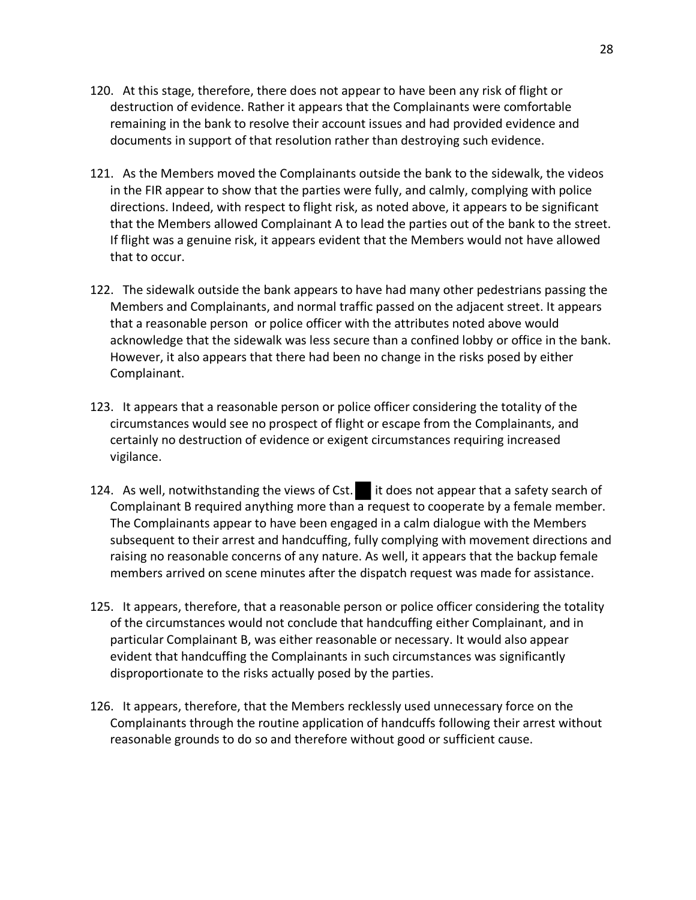- 120. At this stage, therefore, there does not appear to have been any risk of flight or destruction of evidence. Rather it appears that the Complainants were comfortable remaining in the bank to resolve their account issues and had provided evidence and documents in support of that resolution rather than destroying such evidence.
- 121. As the Members moved the Complainants outside the bank to the sidewalk, the videos in the FIR appear to show that the parties were fully, and calmly, complying with police directions. Indeed, with respect to flight risk, as noted above, it appears to be significant that the Members allowed Complainant A to lead the parties out of the bank to the street. If flight was a genuine risk, it appears evident that the Members would not have allowed that to occur.
- 122. The sidewalk outside the bank appears to have had many other pedestrians passing the Members and Complainants, and normal traffic passed on the adjacent street. It appears that a reasonable person or police officer with the attributes noted above would acknowledge that the sidewalk was less secure than a confined lobby or office in the bank. However, it also appears that there had been no change in the risks posed by either Complainant.
- 123. It appears that a reasonable person or police officer considering the totality of the circumstances would see no prospect of flight or escape from the Complainants, and certainly no destruction of evidence or exigent circumstances requiring increased vigilance.
- 124. As well, notwithstanding the views of Cst. it does not appear that a safety search of Complainant B required anything more than a request to cooperate by a female member. The Complainants appear to have been engaged in a calm dialogue with the Members subsequent to their arrest and handcuffing, fully complying with movement directions and raising no reasonable concerns of any nature. As well, it appears that the backup female members arrived on scene minutes after the dispatch request was made for assistance.
- 125. It appears, therefore, that a reasonable person or police officer considering the totality of the circumstances would not conclude that handcuffing either Complainant, and in particular Complainant B, was either reasonable or necessary. It would also appear evident that handcuffing the Complainants in such circumstances was significantly disproportionate to the risks actually posed by the parties.
- 126. It appears, therefore, that the Members recklessly used unnecessary force on the Complainants through the routine application of handcuffs following their arrest without reasonable grounds to do so and therefore without good or sufficient cause.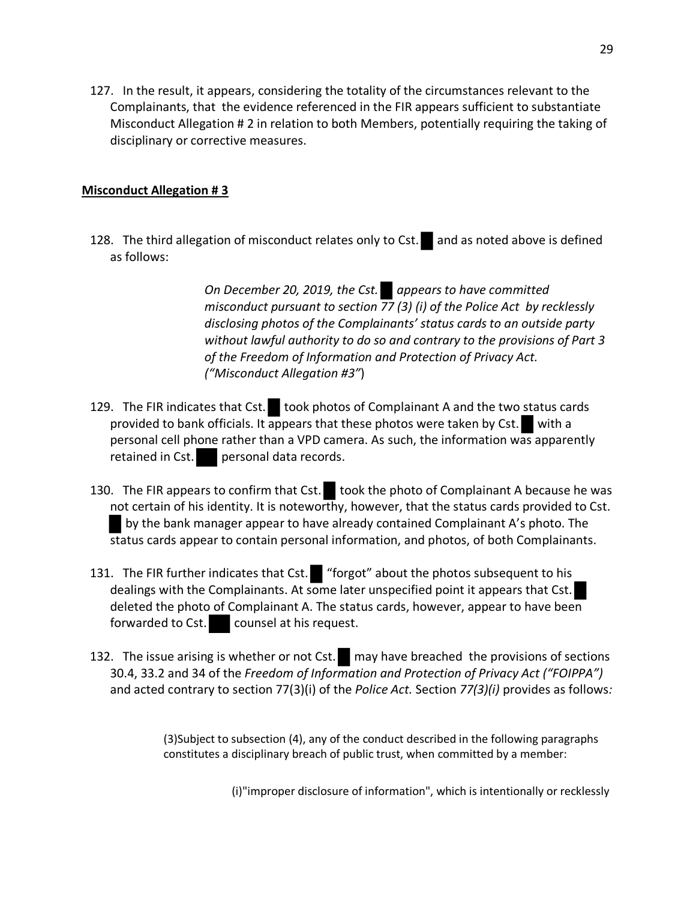127. In the result, it appears, considering the totality of the circumstances relevant to the Complainants, that the evidence referenced in the FIR appears sufficient to substantiate Misconduct Allegation # 2 in relation to both Members, potentially requiring the taking of disciplinary or corrective measures.

### **Misconduct Allegation # 3**

128. The third allegation of misconduct relates only to Cst. and as noted above is defined as follows:

> *On December 20, 2019, the Cst. appears to have committed misconduct pursuant to section 77 (3) (i) of the Police Act by recklessly disclosing photos of the Complainants' status cards to an outside party without lawful authority to do so and contrary to the provisions of Part 3 of the Freedom of Information and Protection of Privacy Act. ("Misconduct Allegation #3"*)

- 129. The FIR indicates that Cst. took photos of Complainant A and the two status cards provided to bank officials. It appears that these photos were taken by Cst. with a personal cell phone rather than a VPD camera. As such, the information was apparently retained in Cst. personal data records.
- 130. The FIR appears to confirm that Cst. took the photo of Complainant A because he was not certain of his identity. It is noteworthy, however, that the status cards provided to Cst. by the bank manager appear to have already contained Complainant A's photo. The status cards appear to contain personal information, and photos, of both Complainants.
- 131. The FIR further indicates that Cst. "forgot" about the photos subsequent to his dealings with the Complainants. At some later unspecified point it appears that Cst. deleted the photo of Complainant A. The status cards, however, appear to have been forwarded to Cst. counsel at his request.
- 132. The issue arising is whether or not Cst. may have breached the provisions of sections 30.4, 33.2 and 34 of the *Freedom of Information and Protection of Privacy Act ("FOIPPA")* and acted contrary to section 77(3)(i) of the *Police Act.* Section *77(3)(i)* provides as follows*:*

(3)Subject to subsection (4), any of the conduct described in the following paragraphs constitutes a disciplinary breach of public trust, when committed by a member:

(i)"improper disclosure of information", which is intentionally or recklessly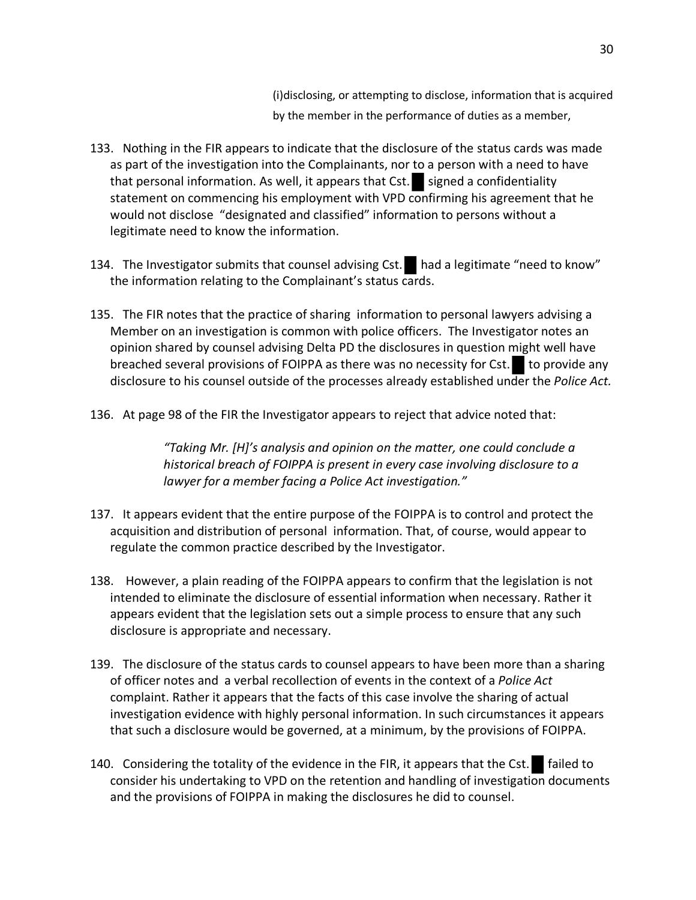(i)disclosing, or attempting to disclose, information that is acquired by the member in the performance of duties as a member,

- 133. Nothing in the FIR appears to indicate that the disclosure of the status cards was made as part of the investigation into the Complainants, nor to a person with a need to have that personal information. As well, it appears that  $Cst.$  signed a confidentiality statement on commencing his employment with VPD confirming his agreement that he would not disclose "designated and classified" information to persons without a legitimate need to know the information.
- 134. The Investigator submits that counsel advising Cst. had a legitimate "need to know" the information relating to the Complainant's status cards.
- 135. The FIR notes that the practice of sharing information to personal lawyers advising a Member on an investigation is common with police officers. The Investigator notes an opinion shared by counsel advising Delta PD the disclosures in question might well have breached several provisions of FOIPPA as there was no necessity for  $Cst.$  to provide any disclosure to his counsel outside of the processes already established under the *Police Act.*
- 136. At page 98 of the FIR the Investigator appears to reject that advice noted that:

*"Taking Mr. [H]'s analysis and opinion on the matter, one could conclude a historical breach of FOIPPA is present in every case involving disclosure to a lawyer for a member facing a Police Act investigation."*

- 137. It appears evident that the entire purpose of the FOIPPA is to control and protect the acquisition and distribution of personal information. That, of course, would appear to regulate the common practice described by the Investigator.
- 138. However, a plain reading of the FOIPPA appears to confirm that the legislation is not intended to eliminate the disclosure of essential information when necessary. Rather it appears evident that the legislation sets out a simple process to ensure that any such disclosure is appropriate and necessary.
- 139. The disclosure of the status cards to counsel appears to have been more than a sharing of officer notes and a verbal recollection of events in the context of a *Police Act* complaint. Rather it appears that the facts of this case involve the sharing of actual investigation evidence with highly personal information. In such circumstances it appears that such a disclosure would be governed, at a minimum, by the provisions of FOIPPA.
- 140. Considering the totality of the evidence in the FIR, it appears that the Cst.  $\Box$  failed to consider his undertaking to VPD on the retention and handling of investigation documents and the provisions of FOIPPA in making the disclosures he did to counsel.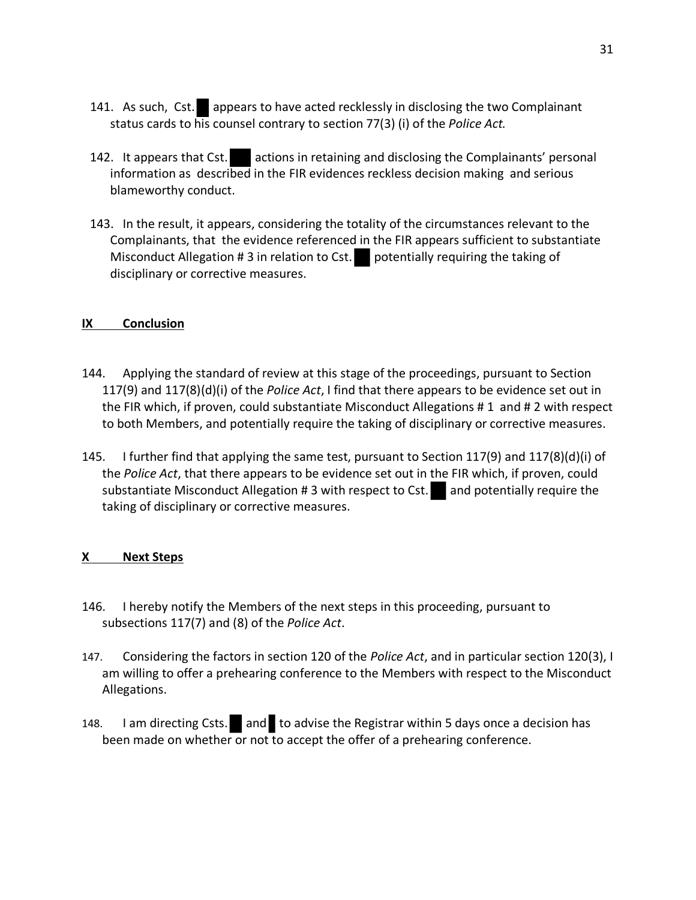- 141. As such, Cst. appears to have acted recklessly in disclosing the two Complainant status cards to his counsel contrary to section 77(3) (i) of the *Police Act.*
- 142. It appears that Cst. actions in retaining and disclosing the Complainants' personal information as described in the FIR evidences reckless decision making and serious blameworthy conduct.
- 143. In the result, it appears, considering the totality of the circumstances relevant to the Complainants, that the evidence referenced in the FIR appears sufficient to substantiate Misconduct Allegation  $# 3$  in relation to Cst. potentially requiring the taking of disciplinary or corrective measures.

#### **IX Conclusion**

- 144. Applying the standard of review at this stage of the proceedings, pursuant to Section 117(9) and 117(8)(d)(i) of the *Police Act*, I find that there appears to be evidence set out in the FIR which, if proven, could substantiate Misconduct Allegations # 1 and # 2 with respect to both Members, and potentially require the taking of disciplinary or corrective measures.
- 145. I further find that applying the same test, pursuant to Section 117(9) and 117(8)(d)(i) of the *Police Act*, that there appears to be evidence set out in the FIR which, if proven, could substantiate Misconduct Allegation # 3 with respect to Cst.  $\Box$  and potentially require the taking of disciplinary or corrective measures.

#### **X Next Steps**

- 146. I hereby notify the Members of the next steps in this proceeding, pursuant to subsections 117(7) and (8) of the *Police Act*.
- 147. Considering the factors in section 120 of the *Police Act*, and in particular section 120(3), I am willing to offer a prehearing conference to the Members with respect to the Misconduct Allegations.
- 148. I am directing Csts. and to advise the Registrar within 5 days once a decision has been made on whether or not to accept the offer of a prehearing conference.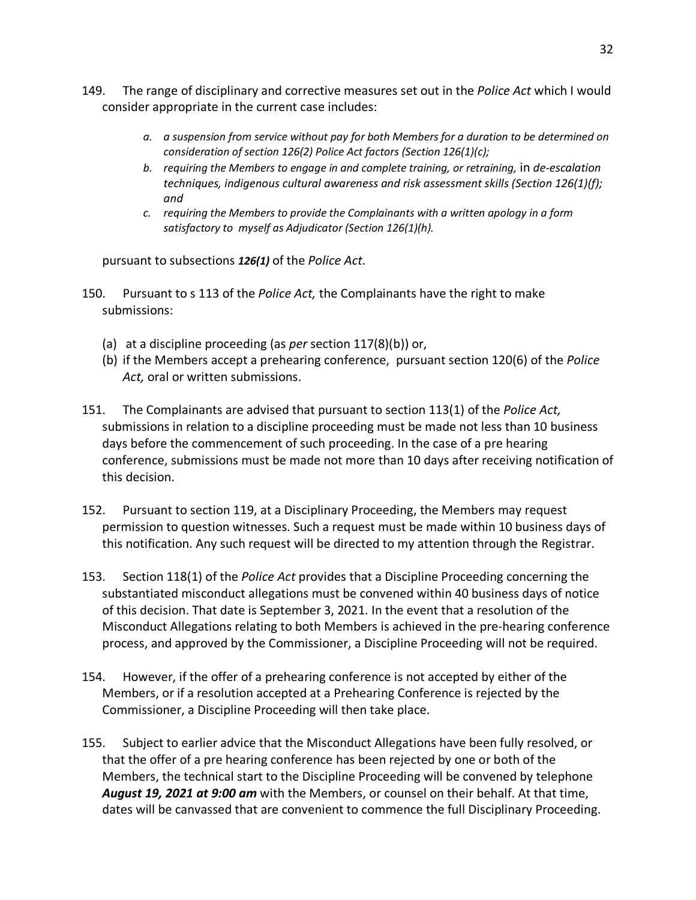- 149. The range of disciplinary and corrective measures set out in the *Police Act* which I would consider appropriate in the current case includes:
	- *a. a suspension from service without pay for both Members for a duration to be determined on consideration of section 126(2) Police Act factors (Section 126(1)(c);*
	- *b. requiring the Members to engage in and complete training, or retraining,* in *de-escalation techniques, indigenous cultural awareness and risk assessment skills (Section 126(1)(f); and*
	- *c. requiring the Members to provide the Complainants with a written apology in a form satisfactory to myself as Adjudicator (Section 126(1)(h).*

pursuant to subsections *126(1)* of the *Police Act*.

- 150. Pursuant to s 113 of the *Police Act,* the Complainants have the right to make submissions:
	- (a) at a discipline proceeding (as *per* section 117(8)(b)) or,
	- (b) if the Members accept a prehearing conference, pursuant section 120(6) of the *Police Act,* oral or written submissions.
- 151. The Complainants are advised that pursuant to section 113(1) of the *Police Act,* submissions in relation to a discipline proceeding must be made not less than 10 business days before the commencement of such proceeding. In the case of a pre hearing conference, submissions must be made not more than 10 days after receiving notification of this decision.
- 152. Pursuant to section 119, at a Disciplinary Proceeding, the Members may request permission to question witnesses. Such a request must be made within 10 business days of this notification. Any such request will be directed to my attention through the Registrar.
- 153. Section 118(1) of the *Police Act* provides that a Discipline Proceeding concerning the substantiated misconduct allegations must be convened within 40 business days of notice of this decision. That date is September 3, 2021. In the event that a resolution of the Misconduct Allegations relating to both Members is achieved in the pre-hearing conference process, and approved by the Commissioner, a Discipline Proceeding will not be required.
- 154. However, if the offer of a prehearing conference is not accepted by either of the Members, or if a resolution accepted at a Prehearing Conference is rejected by the Commissioner, a Discipline Proceeding will then take place.
- 155. Subject to earlier advice that the Misconduct Allegations have been fully resolved, or that the offer of a pre hearing conference has been rejected by one or both of the Members, the technical start to the Discipline Proceeding will be convened by telephone *August 19, 2021 at 9:00 am* with the Members, or counsel on their behalf. At that time, dates will be canvassed that are convenient to commence the full Disciplinary Proceeding.